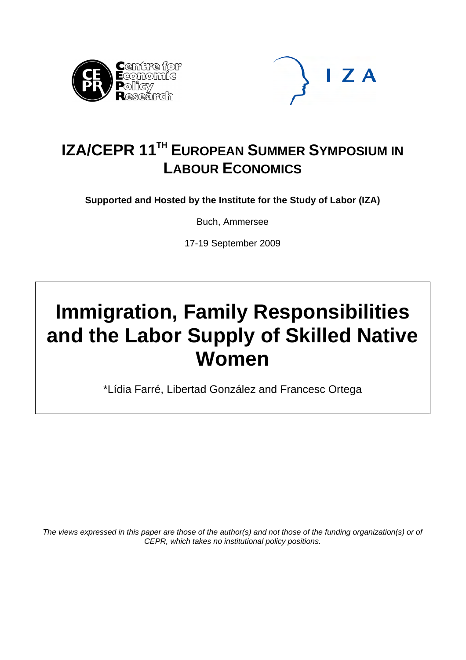



## **IZA/CEPR 11TH EUROPEAN SUMMER SYMPOSIUM IN LABOUR ECONOMICS**

**Supported and Hosted by the Institute for the Study of Labor (IZA)** 

Buch, Ammersee

17-19 September 2009

# **Immigration, Family Responsibilities and the Labor Supply of Skilled Native Women**

\*Lídia Farré, Libertad González and Francesc Ortega

*The views expressed in this paper are those of the author(s) and not those of the funding organization(s) or of CEPR, which takes no institutional policy positions.*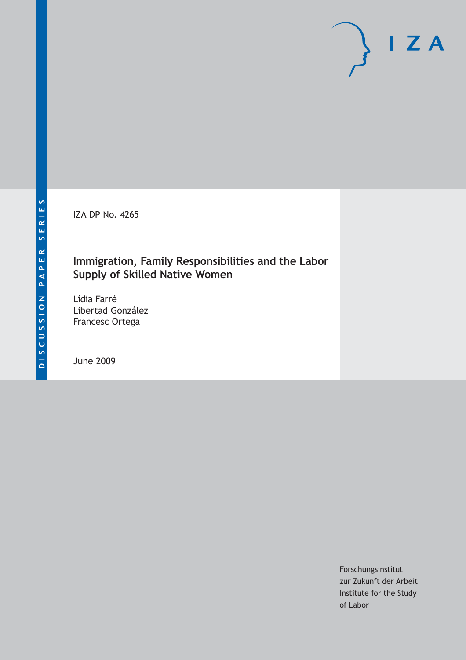IZA DP No. 4265

## **Immigration, Family Responsibilities and the Labor Supply of Skilled Native Women**

Lídia Farré Libertad González Francesc Ortega

June 2009

Forschungsinstitut zur Zukunft der Arbeit Institute for the Study of Labor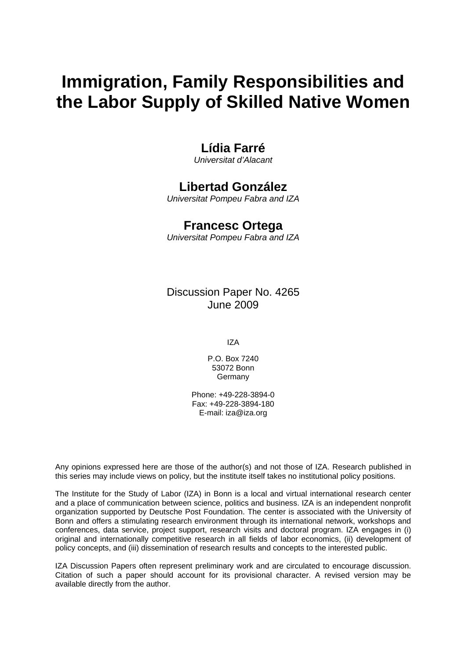## **Immigration, Family Responsibilities and the Labor Supply of Skilled Native Women**

## **Lídia Farré**

*Universitat d'Alacant* 

## **Libertad González**

*Universitat Pompeu Fabra and IZA* 

### **Francesc Ortega**

*Universitat Pompeu Fabra and IZA* 

Discussion Paper No. 4265 June 2009

IZA

P.O. Box 7240 53072 Bonn **Germany** 

Phone: +49-228-3894-0 Fax: +49-228-3894-180 E-mail: [iza@iza.org](mailto:iza@iza.org)

Any opinions expressed here are those of the author(s) and not those of IZA. Research published in this series may include views on policy, but the institute itself takes no institutional policy positions.

The Institute for the Study of Labor (IZA) in Bonn is a local and virtual international research center and a place of communication between science, politics and business. IZA is an independent nonprofit organization supported by Deutsche Post Foundation. The center is associated with the University of Bonn and offers a stimulating research environment through its international network, workshops and conferences, data service, project support, research visits and doctoral program. IZA engages in (i) original and internationally competitive research in all fields of labor economics, (ii) development of policy concepts, and (iii) dissemination of research results and concepts to the interested public.

IZA Discussion Papers often represent preliminary work and are circulated to encourage discussion. Citation of such a paper should account for its provisional character. A revised version may be available directly from the author.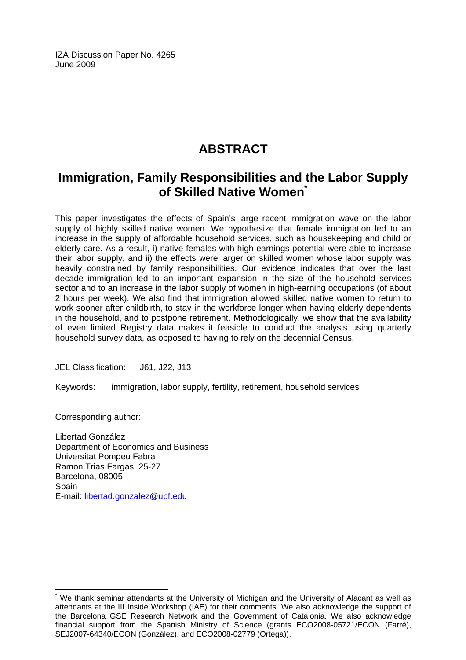IZA Discussion Paper No. 4265 June 2009

## **ABSTRACT**

## **Immigration, Family Responsibilities and the Labor Supply of Skilled Native Women[\\*](#page-3-0)**

This paper investigates the effects of Spain's large recent immigration wave on the labor supply of highly skilled native women. We hypothesize that female immigration led to an increase in the supply of affordable household services, such as housekeeping and child or elderly care. As a result, i) native females with high earnings potential were able to increase their labor supply, and ii) the effects were larger on skilled women whose labor supply was heavily constrained by family responsibilities. Our evidence indicates that over the last decade immigration led to an important expansion in the size of the household services sector and to an increase in the labor supply of women in high-earning occupations (of about 2 hours per week). We also find that immigration allowed skilled native women to return to work sooner after childbirth, to stay in the workforce longer when having elderly dependents in the household, and to postpone retirement. Methodologically, we show that the availability of even limited Registry data makes it feasible to conduct the analysis using quarterly household survey data, as opposed to having to rely on the decennial Census.

JEL Classification: J61, J22, J13

Keywords: immigration, labor supply, fertility, retirement, household services

Corresponding author:

 $\overline{a}$ 

Libertad González Department of Economics and Business Universitat Pompeu Fabra Ramon Trias Fargas, 25-27 Barcelona, 08005 **Spain** E-mail: [libertad.gonzalez@upf.edu](mailto:libertad.gonzalez@upf.edu) 

<span id="page-3-0"></span><sup>\*</sup> We thank seminar attendants at the University of Michigan and the University of Alacant as well as attendants at the III Inside Workshop (IAE) for their comments. We also acknowledge the support of the Barcelona GSE Research Network and the Government of Catalonia. We also acknowledge financial support from the Spanish Ministry of Science (grants ECO2008-05721/ECON (Farré), SEJ2007-64340/ECON (González), and ECO2008-02779 (Ortega)).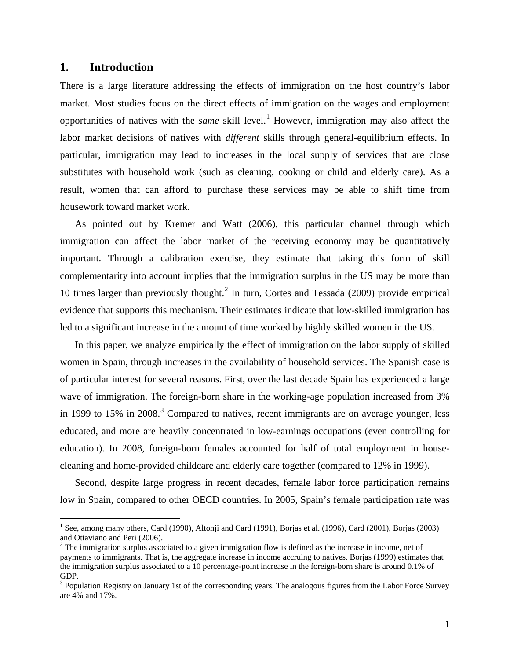#### **1. Introduction**

 $\overline{a}$ 

There is a large literature addressing the effects of immigration on the host country's labor market. Most studies focus on the direct effects of immigration on the wages and employment opportunities of natives with the *same* skill level.[1](#page-4-0) However, immigration may also affect the labor market decisions of natives with *different* skills through general-equilibrium effects. In particular, immigration may lead to increases in the local supply of services that are close substitutes with household work (such as cleaning, cooking or child and elderly care). As a result, women that can afford to purchase these services may be able to shift time from housework toward market work.

 As pointed out by Kremer and Watt (2006), this particular channel through which immigration can affect the labor market of the receiving economy may be quantitatively important. Through a calibration exercise, they estimate that taking this form of skill complementarity into account implies that the immigration surplus in the US may be more than 10 times larger than previously thought.<sup>[2](#page-4-1)</sup> In turn, Cortes and Tessada (2009) provide empirical evidence that supports this mechanism. Their estimates indicate that low-skilled immigration has led to a significant increase in the amount of time worked by highly skilled women in the US.

 In this paper, we analyze empirically the effect of immigration on the labor supply of skilled women in Spain, through increases in the availability of household services. The Spanish case is of particular interest for several reasons. First, over the last decade Spain has experienced a large wave of immigration. The foreign-born share in the working-age population increased from 3% in 1999 to 15% in 2008.<sup>[3](#page-4-2)</sup> Compared to natives, recent immigrants are on average younger, less educated, and more are heavily concentrated in low-earnings occupations (even controlling for education). In 2008, foreign-born females accounted for half of total employment in housecleaning and home-provided childcare and elderly care together (compared to 12% in 1999).

Second, despite large progress in recent decades, female labor force participation remains low in Spain, compared to other OECD countries. In 2005, Spain's female participation rate was

<span id="page-4-0"></span><sup>&</sup>lt;sup>1</sup> See, among many others, Card (1990), Altonji and Card (1991), Borjas et al. (1996), Card (2001), Borjas (2003) and Ottaviano and Peri (2006).

<span id="page-4-1"></span> $2^2$  The immigration surplus associated to a given immigration flow is defined as the increase in income, net of payments to immigrants. That is, the aggregate increase in income accruing to natives. Borjas (1999) estimates that the immigration surplus associated to a 10 percentage-point increase in the foreign-born share is around 0.1% of GDP.

<span id="page-4-2"></span><sup>&</sup>lt;sup>3</sup> Population Registry on January 1st of the corresponding years. The analogous figures from the Labor Force Survey are 4% and 17%.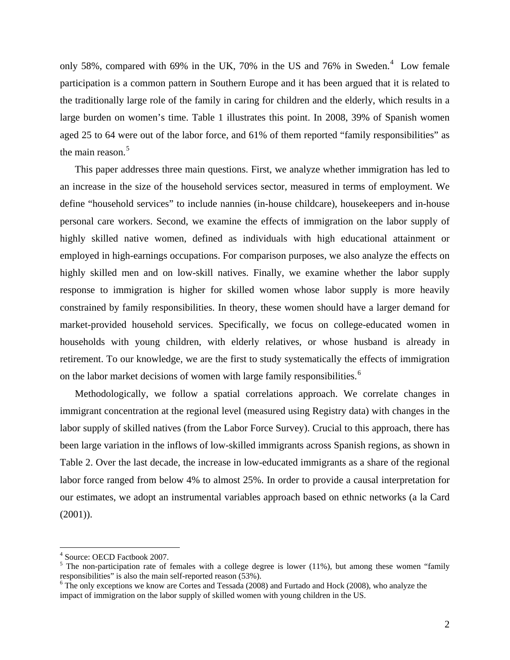only 58%, compared with 69% in the UK, 70% in the US and 76% in Sweden.<sup>[4](#page-5-0)</sup> Low female participation is a common pattern in Southern Europe and it has been argued that it is related to the traditionally large role of the family in caring for children and the elderly, which results in a large burden on women's time. Table 1 illustrates this point. In 2008, 39% of Spanish women aged 25 to 64 were out of the labor force, and 61% of them reported "family responsibilities" as the main reason.<sup>[5](#page-5-1)</sup>

This paper addresses three main questions. First, we analyze whether immigration has led to an increase in the size of the household services sector, measured in terms of employment. We define "household services" to include nannies (in-house childcare), housekeepers and in-house personal care workers. Second, we examine the effects of immigration on the labor supply of highly skilled native women, defined as individuals with high educational attainment or employed in high-earnings occupations. For comparison purposes, we also analyze the effects on highly skilled men and on low-skill natives. Finally, we examine whether the labor supply response to immigration is higher for skilled women whose labor supply is more heavily constrained by family responsibilities. In theory, these women should have a larger demand for market-provided household services. Specifically, we focus on college-educated women in households with young children, with elderly relatives, or whose husband is already in retirement. To our knowledge, we are the first to study systematically the effects of immigration on the labor market decisions of women with large family responsibilities.<sup>[6](#page-5-2)</sup>

 Methodologically, we follow a spatial correlations approach. We correlate changes in immigrant concentration at the regional level (measured using Registry data) with changes in the labor supply of skilled natives (from the Labor Force Survey). Crucial to this approach, there has been large variation in the inflows of low-skilled immigrants across Spanish regions, as shown in Table 2. Over the last decade, the increase in low-educated immigrants as a share of the regional labor force ranged from below 4% to almost 25%. In order to provide a causal interpretation for our estimates, we adopt an instrumental variables approach based on ethnic networks (a la Card  $(2001)$ ).

 $\overline{a}$ 

<sup>4</sup> Source: OECD Factbook 2007.

<sup>&</sup>lt;sup>5</sup> The non-participation rate of females with a college degree is lower (11%), but among these women "family responsibilities" is also the main self-reported reason (53%).

<span id="page-5-2"></span><span id="page-5-1"></span><span id="page-5-0"></span><sup>&</sup>lt;sup>6</sup> The only exceptions we know are Cortes and Tessada (2008) and Furtado and Hock (2008), who analyze the impact of immigration on the labor supply of skilled women with young children in the US.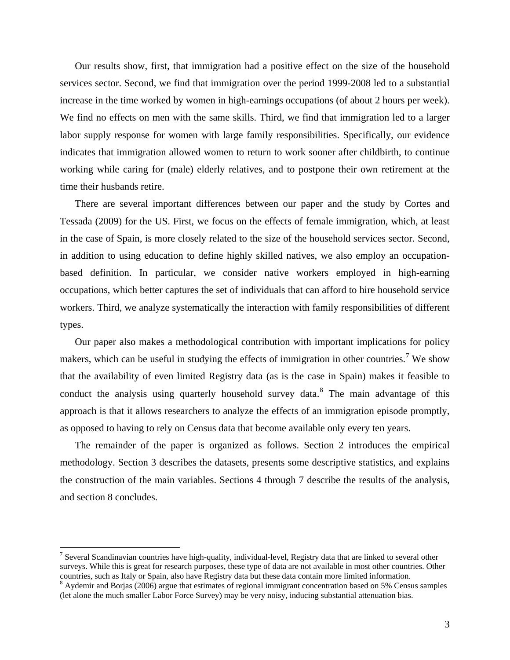Our results show, first, that immigration had a positive effect on the size of the household services sector. Second, we find that immigration over the period 1999-2008 led to a substantial increase in the time worked by women in high-earnings occupations (of about 2 hours per week). We find no effects on men with the same skills. Third, we find that immigration led to a larger labor supply response for women with large family responsibilities. Specifically, our evidence indicates that immigration allowed women to return to work sooner after childbirth, to continue working while caring for (male) elderly relatives, and to postpone their own retirement at the time their husbands retire.

 There are several important differences between our paper and the study by Cortes and Tessada (2009) for the US. First, we focus on the effects of female immigration, which, at least in the case of Spain, is more closely related to the size of the household services sector. Second, in addition to using education to define highly skilled natives, we also employ an occupationbased definition. In particular, we consider native workers employed in high-earning occupations, which better captures the set of individuals that can afford to hire household service workers. Third, we analyze systematically the interaction with family responsibilities of different types.

 Our paper also makes a methodological contribution with important implications for policy makers, which can be useful in studying the effects of immigration in other countries.<sup>[7](#page-6-0)</sup> We show that the availability of even limited Registry data (as is the case in Spain) makes it feasible to conduct the analysis using quarterly household survey data. $8$  The main advantage of this approach is that it allows researchers to analyze the effects of an immigration episode promptly, as opposed to having to rely on Census data that become available only every ten years.

 The remainder of the paper is organized as follows. Section 2 introduces the empirical methodology. Section 3 describes the datasets, presents some descriptive statistics, and explains the construction of the main variables. Sections 4 through 7 describe the results of the analysis, and section 8 concludes.

 $\overline{a}$ 

<sup>&</sup>lt;sup>7</sup> Several Scandinavian countries have high-quality, individual-level, Registry data that are linked to several other surveys. While this is great for research purposes, these type of data are not available in most other countries. Other countries, such as Italy or Spain, also have Registry data but these data contain more limited information.

<span id="page-6-1"></span><span id="page-6-0"></span> $8$  Aydemir and Borjas (2006) argue that estimates of regional immigrant concentration based on 5% Census samples (let alone the much smaller Labor Force Survey) may be very noisy, inducing substantial attenuation bias.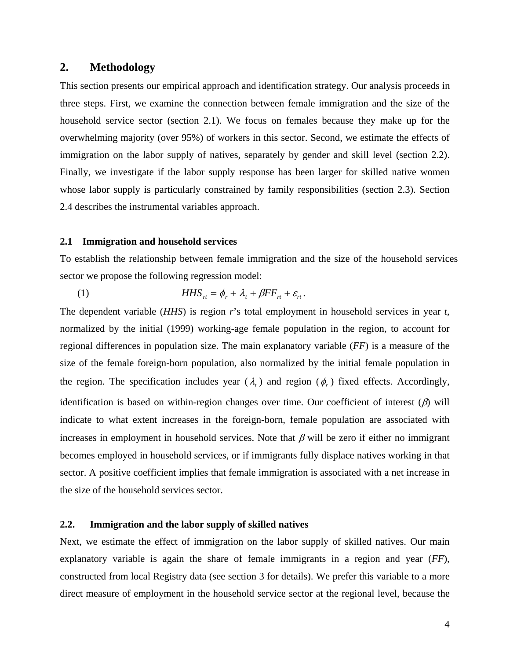#### **2. Methodology**

This section presents our empirical approach and identification strategy. Our analysis proceeds in three steps. First, we examine the connection between female immigration and the size of the household service sector (section 2.1). We focus on females because they make up for the overwhelming majority (over 95%) of workers in this sector. Second, we estimate the effects of immigration on the labor supply of natives, separately by gender and skill level (section 2.2). Finally, we investigate if the labor supply response has been larger for skilled native women whose labor supply is particularly constrained by family responsibilities (section 2.3). Section 2.4 describes the instrumental variables approach.

#### **2.1 Immigration and household services**

To establish the relationship between female immigration and the size of the household services sector we propose the following regression model:

(1) 
$$
HHS_{rt} = \phi_r + \lambda_t + \beta FF_{rt} + \varepsilon_{rt}.
$$

The dependent variable (*HHS*) is region *r*'s total employment in household services in year *t*, normalized by the initial (1999) working-age female population in the region, to account for regional differences in population size. The main explanatory variable (*FF*) is a measure of the size of the female foreign-born population, also normalized by the initial female population in the region. The specification includes year  $(\lambda_t)$  and region  $(\phi_r)$  fixed effects. Accordingly, identification is based on within-region changes over time. Our coefficient of interest  $(\beta)$  will indicate to what extent increases in the foreign-born, female population are associated with increases in employment in household services. Note that  $\beta$  will be zero if either no immigrant becomes employed in household services, or if immigrants fully displace natives working in that sector. A positive coefficient implies that female immigration is associated with a net increase in the size of the household services sector.

#### **2.2. Immigration and the labor supply of skilled natives**

Next, we estimate the effect of immigration on the labor supply of skilled natives. Our main explanatory variable is again the share of female immigrants in a region and year (*FF*), constructed from local Registry data (see section 3 for details). We prefer this variable to a more direct measure of employment in the household service sector at the regional level, because the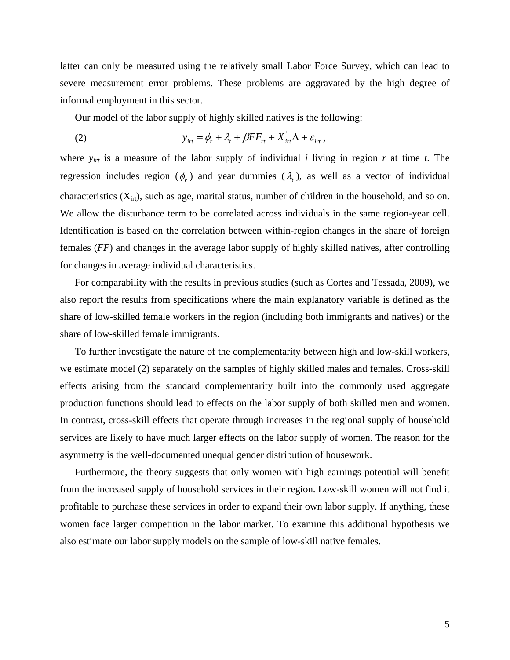latter can only be measured using the relatively small Labor Force Survey, which can lead to severe measurement error problems. These problems are aggravated by the high degree of informal employment in this sector.

Our model of the labor supply of highly skilled natives is the following:

(2) 
$$
y_{irt} = \phi_r + \lambda_t + \beta FF_{rt} + X_{irt}^{'} \Lambda + \varepsilon_{irt} ,
$$

where *yirt* is a measure of the labor supply of individual *i* living in region *r* at time *t*. The regression includes region  $(\phi_r)$  and year dummies  $(\lambda_t)$ , as well as a vector of individual characteristics  $(X_{int})$ , such as age, marital status, number of children in the household, and so on. We allow the disturbance term to be correlated across individuals in the same region-year cell. Identification is based on the correlation between within-region changes in the share of foreign females (*FF*) and changes in the average labor supply of highly skilled natives, after controlling for changes in average individual characteristics.

 For comparability with the results in previous studies (such as Cortes and Tessada, 2009), we also report the results from specifications where the main explanatory variable is defined as the share of low-skilled female workers in the region (including both immigrants and natives) or the share of low-skilled female immigrants.

 To further investigate the nature of the complementarity between high and low-skill workers, we estimate model (2) separately on the samples of highly skilled males and females. Cross-skill effects arising from the standard complementarity built into the commonly used aggregate production functions should lead to effects on the labor supply of both skilled men and women. In contrast, cross-skill effects that operate through increases in the regional supply of household services are likely to have much larger effects on the labor supply of women. The reason for the asymmetry is the well-documented unequal gender distribution of housework.

 Furthermore, the theory suggests that only women with high earnings potential will benefit from the increased supply of household services in their region. Low-skill women will not find it profitable to purchase these services in order to expand their own labor supply. If anything, these women face larger competition in the labor market. To examine this additional hypothesis we also estimate our labor supply models on the sample of low-skill native females.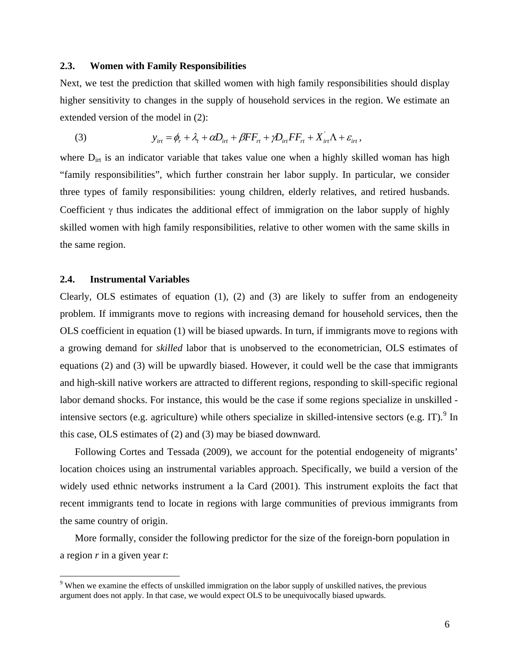#### **2.3. Women with Family Responsibilities**

Next, we test the prediction that skilled women with high family responsibilities should display higher sensitivity to changes in the supply of household services in the region. We estimate an extended version of the model in (2):

(3) 
$$
y_{\text{int}} = \phi_r + \lambda_t + \alpha D_{\text{int}} + \beta FF_{\text{H}} + \gamma D_{\text{int}}FF_{\text{H}} + X_{\text{int}} + \varepsilon_{\text{int}},
$$

where  $D_{\text{int}}$  is an indicator variable that takes value one when a highly skilled woman has high "family responsibilities", which further constrain her labor supply. In particular, we consider three types of family responsibilities: young children, elderly relatives, and retired husbands. Coefficient  $\gamma$  thus indicates the additional effect of immigration on the labor supply of highly skilled women with high family responsibilities, relative to other women with the same skills in the same region.

#### **2.4. Instrumental Variables**

 $\overline{a}$ 

Clearly, OLS estimates of equation  $(1)$ ,  $(2)$  and  $(3)$  are likely to suffer from an endogeneity problem. If immigrants move to regions with increasing demand for household services, then the OLS coefficient in equation (1) will be biased upwards. In turn, if immigrants move to regions with a growing demand for *skilled* labor that is unobserved to the econometrician, OLS estimates of equations (2) and (3) will be upwardly biased. However, it could well be the case that immigrants and high-skill native workers are attracted to different regions, responding to skill-specific regional labor demand shocks. For instance, this would be the case if some regions specialize in unskilled - intensive sectors (e.g. agriculture) while others specialize in skilled-intensive sectors (e.g. IT). <sup>[9](#page-9-0)</sup> In this case, OLS estimates of (2) and (3) may be biased downward.

 Following Cortes and Tessada (2009), we account for the potential endogeneity of migrants' location choices using an instrumental variables approach. Specifically, we build a version of the widely used ethnic networks instrument a la Card (2001). This instrument exploits the fact that recent immigrants tend to locate in regions with large communities of previous immigrants from the same country of origin.

 More formally, consider the following predictor for the size of the foreign-born population in a region *r* in a given year *t*:

<span id="page-9-0"></span><sup>&</sup>lt;sup>9</sup> When we examine the effects of unskilled immigration on the labor supply of unskilled natives, the previous argument does not apply. In that case, we would expect OLS to be unequivocally biased upwards.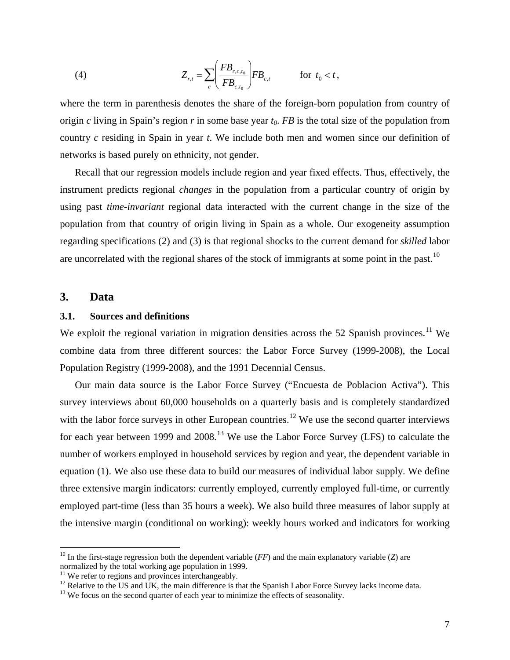(4) 
$$
Z_{r,t} = \sum_{c} \left( \frac{FB_{r,c,t_0}}{FB_{c,t_0}} \right) FB_{c,t} \quad \text{for } t_0 < t,
$$

where the term in parenthesis denotes the share of the foreign-born population from country of origin *c* living in Spain's region *r* in some base year  $t_0$ . *FB* is the total size of the population from country *c* residing in Spain in year *t*. We include both men and women since our definition of networks is based purely on ethnicity, not gender.

 Recall that our regression models include region and year fixed effects. Thus, effectively, the instrument predicts regional *changes* in the population from a particular country of origin by using past *time-invariant* regional data interacted with the current change in the size of the population from that country of origin living in Spain as a whole. Our exogeneity assumption regarding specifications (2) and (3) is that regional shocks to the current demand for *skilled* labor are uncorrelated with the regional shares of the stock of immigrants at some point in the past.<sup>[10](#page-10-0)</sup>

#### **3. Data**

 $\overline{a}$ 

#### **3.1. Sources and definitions**

We exploit the regional variation in migration densities across the 52 Spanish provinces.<sup>[11](#page-10-1)</sup> We combine data from three different sources: the Labor Force Survey (1999-2008), the Local Population Registry (1999-2008), and the 1991 Decennial Census.

 Our main data source is the Labor Force Survey ("Encuesta de Poblacion Activa"). This survey interviews about 60,000 households on a quarterly basis and is completely standardized with the labor force surveys in other European countries.<sup>12</sup> We use the second quarter interviews for each year between 1999 and  $2008<sup>13</sup>$  We use the Labor Force Survey (LFS) to calculate the number of workers employed in household services by region and year, the dependent variable in equation (1). We also use these data to build our measures of individual labor supply. We define three extensive margin indicators: currently employed, currently employed full-time, or currently employed part-time (less than 35 hours a week). We also build three measures of labor supply at the intensive margin (conditional on working): weekly hours worked and indicators for working

<span id="page-10-0"></span><sup>&</sup>lt;sup>10</sup> In the first-stage regression both the dependent variable ( $FF$ ) and the main explanatory variable ( $Z$ ) are normalized by the total working age population in 1999.

 $11$  We refer to regions and provinces interchangeably.

<span id="page-10-3"></span><span id="page-10-2"></span><span id="page-10-1"></span><sup>&</sup>lt;sup>12</sup> Relative to the US and UK, the main difference is that the Spanish Labor Force Survey lacks income data.<br><sup>13</sup> We focus on the second quarter of each year to minimize the effects of seasonality.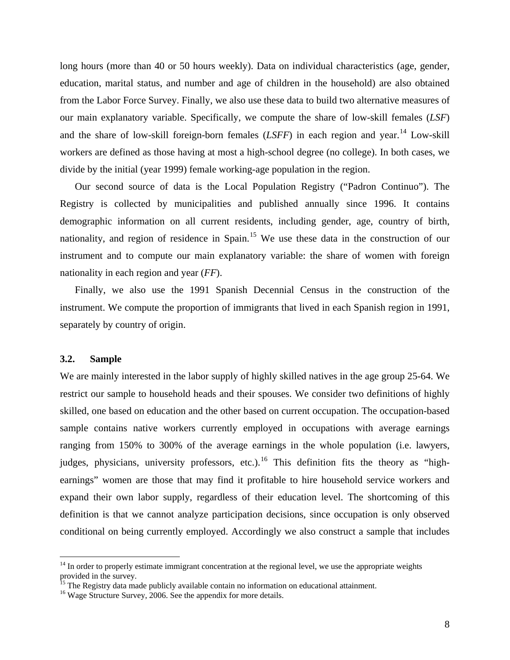long hours (more than 40 or 50 hours weekly). Data on individual characteristics (age, gender, education, marital status, and number and age of children in the household) are also obtained from the Labor Force Survey. Finally, we also use these data to build two alternative measures of our main explanatory variable. Specifically, we compute the share of low-skill females (*LSF*) and the share of low-skill foreign-born females  $(LSFF)$  in each region and year.<sup>[14](#page-11-0)</sup> Low-skill workers are defined as those having at most a high-school degree (no college). In both cases, we divide by the initial (year 1999) female working-age population in the region.

 Our second source of data is the Local Population Registry ("Padron Continuo"). The Registry is collected by municipalities and published annually since 1996. It contains demographic information on all current residents, including gender, age, country of birth, nationality, and region of residence in Spain.<sup>[15](#page-11-1)</sup> We use these data in the construction of our instrument and to compute our main explanatory variable: the share of women with foreign nationality in each region and year (*FF*).

 Finally, we also use the 1991 Spanish Decennial Census in the construction of the instrument. We compute the proportion of immigrants that lived in each Spanish region in 1991, separately by country of origin.

#### **3.2. Sample**

 $\overline{a}$ 

We are mainly interested in the labor supply of highly skilled natives in the age group 25-64. We restrict our sample to household heads and their spouses. We consider two definitions of highly skilled, one based on education and the other based on current occupation. The occupation-based sample contains native workers currently employed in occupations with average earnings ranging from 150% to 300% of the average earnings in the whole population (i.e. lawyers, judges, physicians, university professors, etc.).<sup>[16](#page-11-2)</sup> This definition fits the theory as "highearnings" women are those that may find it profitable to hire household service workers and expand their own labor supply, regardless of their education level. The shortcoming of this definition is that we cannot analyze participation decisions, since occupation is only observed conditional on being currently employed. Accordingly we also construct a sample that includes

<sup>&</sup>lt;sup>14</sup> In order to properly estimate immigrant concentration at the regional level, we use the appropriate weights provided in the survey.

<sup>&</sup>lt;sup>15</sup> The Registry data made publicly available contain no information on educational attainment.

<span id="page-11-2"></span><span id="page-11-1"></span><span id="page-11-0"></span><sup>&</sup>lt;sup>16</sup> Wage Structure Survey, 2006. See the appendix for more details.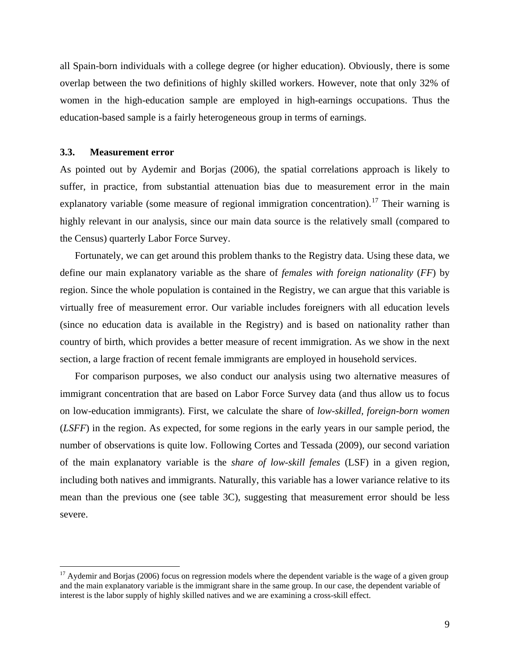all Spain-born individuals with a college degree (or higher education). Obviously, there is some overlap between the two definitions of highly skilled workers. However, note that only 32% of women in the high-education sample are employed in high-earnings occupations. Thus the education-based sample is a fairly heterogeneous group in terms of earnings.

#### **3.3. Measurement error**

 $\overline{a}$ 

As pointed out by Aydemir and Borjas (2006), the spatial correlations approach is likely to suffer, in practice, from substantial attenuation bias due to measurement error in the main explanatory variable (some measure of regional immigration concentration).<sup>17</sup> Their warning is highly relevant in our analysis, since our main data source is the relatively small (compared to the Census) quarterly Labor Force Survey.

Fortunately, we can get around this problem thanks to the Registry data. Using these data, we define our main explanatory variable as the share of *females with foreign nationality* (*FF*) by region. Since the whole population is contained in the Registry, we can argue that this variable is virtually free of measurement error. Our variable includes foreigners with all education levels (since no education data is available in the Registry) and is based on nationality rather than country of birth, which provides a better measure of recent immigration. As we show in the next section, a large fraction of recent female immigrants are employed in household services.

For comparison purposes, we also conduct our analysis using two alternative measures of immigrant concentration that are based on Labor Force Survey data (and thus allow us to focus on low-education immigrants). First, we calculate the share of *low-skilled, foreign-born women*  (*LSFF*) in the region. As expected, for some regions in the early years in our sample period, the number of observations is quite low. Following Cortes and Tessada (2009), our second variation of the main explanatory variable is the *share of low-skill females* (LSF) in a given region, including both natives and immigrants. Naturally, this variable has a lower variance relative to its mean than the previous one (see table 3C), suggesting that measurement error should be less severe.

<span id="page-12-0"></span><sup>&</sup>lt;sup>17</sup> Aydemir and Borjas (2006) focus on regression models where the dependent variable is the wage of a given group and the main explanatory variable is the immigrant share in the same group. In our case, the dependent variable of interest is the labor supply of highly skilled natives and we are examining a cross-skill effect.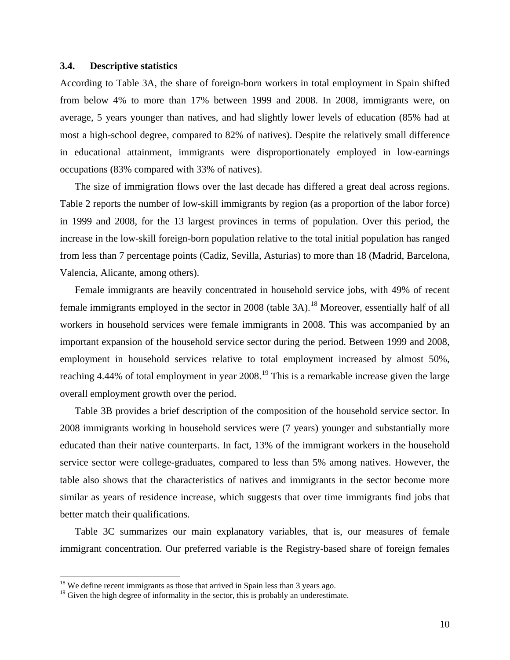#### **3.4. Descriptive statistics**

According to Table 3A, the share of foreign-born workers in total employment in Spain shifted from below 4% to more than 17% between 1999 and 2008. In 2008, immigrants were, on average, 5 years younger than natives, and had slightly lower levels of education (85% had at most a high-school degree, compared to 82% of natives). Despite the relatively small difference in educational attainment, immigrants were disproportionately employed in low-earnings occupations (83% compared with 33% of natives).

 The size of immigration flows over the last decade has differed a great deal across regions. Table 2 reports the number of low-skill immigrants by region (as a proportion of the labor force) in 1999 and 2008, for the 13 largest provinces in terms of population. Over this period, the increase in the low-skill foreign-born population relative to the total initial population has ranged from less than 7 percentage points (Cadiz, Sevilla, Asturias) to more than 18 (Madrid, Barcelona, Valencia, Alicante, among others).

Female immigrants are heavily concentrated in household service jobs, with 49% of recent female immigrants employed in the sector in 2008 (table  $3A$ ).<sup>[18](#page-13-0)</sup> Moreover, essentially half of all workers in household services were female immigrants in 2008. This was accompanied by an important expansion of the household service sector during the period. Between 1999 and 2008, employment in household services relative to total employment increased by almost 50%, reaching 4.44% of total employment in year  $2008<sup>19</sup>$ . This is a remarkable increase given the large overall employment growth over the period.

 Table 3B provides a brief description of the composition of the household service sector. In 2008 immigrants working in household services were (7 years) younger and substantially more educated than their native counterparts. In fact, 13% of the immigrant workers in the household service sector were college-graduates, compared to less than 5% among natives. However, the table also shows that the characteristics of natives and immigrants in the sector become more similar as years of residence increase, which suggests that over time immigrants find jobs that better match their qualifications.

Table 3C summarizes our main explanatory variables, that is, our measures of female immigrant concentration. Our preferred variable is the Registry-based share of foreign females

 $\overline{a}$ 

 $18$  We define recent immigrants as those that arrived in Spain less than 3 years ago.

<span id="page-13-1"></span><span id="page-13-0"></span> $19$  Given the high degree of informality in the sector, this is probably an underestimate.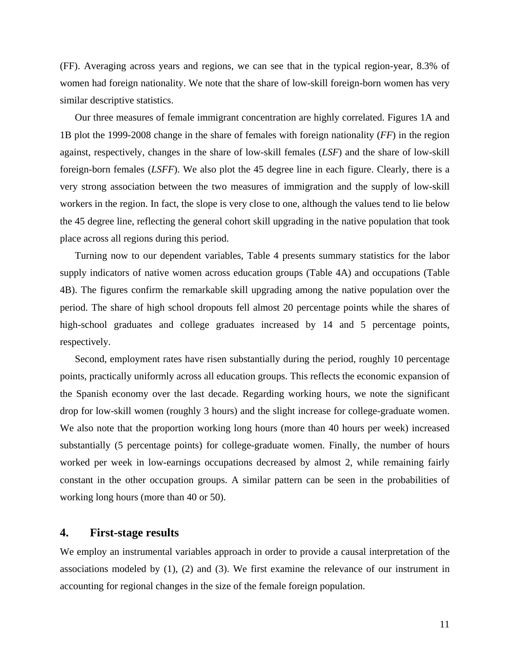(FF). Averaging across years and regions, we can see that in the typical region-year, 8.3% of women had foreign nationality. We note that the share of low-skill foreign-born women has very similar descriptive statistics.

Our three measures of female immigrant concentration are highly correlated. Figures 1A and 1B plot the 1999-2008 change in the share of females with foreign nationality (*FF*) in the region against, respectively, changes in the share of low-skill females (*LSF*) and the share of low-skill foreign-born females (*LSFF*). We also plot the 45 degree line in each figure. Clearly, there is a very strong association between the two measures of immigration and the supply of low-skill workers in the region. In fact, the slope is very close to one, although the values tend to lie below the 45 degree line, reflecting the general cohort skill upgrading in the native population that took place across all regions during this period.

Turning now to our dependent variables, Table 4 presents summary statistics for the labor supply indicators of native women across education groups (Table 4A) and occupations (Table 4B). The figures confirm the remarkable skill upgrading among the native population over the period. The share of high school dropouts fell almost 20 percentage points while the shares of high-school graduates and college graduates increased by 14 and 5 percentage points, respectively.

Second, employment rates have risen substantially during the period, roughly 10 percentage points, practically uniformly across all education groups. This reflects the economic expansion of the Spanish economy over the last decade. Regarding working hours, we note the significant drop for low-skill women (roughly 3 hours) and the slight increase for college-graduate women. We also note that the proportion working long hours (more than 40 hours per week) increased substantially (5 percentage points) for college-graduate women. Finally, the number of hours worked per week in low-earnings occupations decreased by almost 2, while remaining fairly constant in the other occupation groups. A similar pattern can be seen in the probabilities of working long hours (more than 40 or 50).

#### **4. First-stage results**

We employ an instrumental variables approach in order to provide a causal interpretation of the associations modeled by (1), (2) and (3). We first examine the relevance of our instrument in accounting for regional changes in the size of the female foreign population.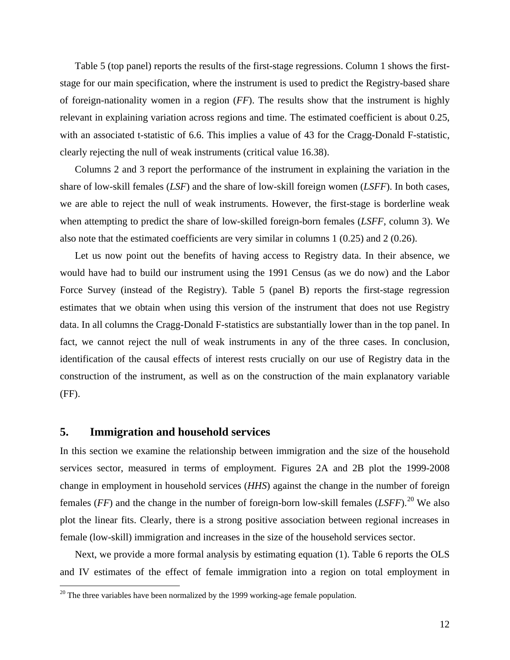<span id="page-15-0"></span>Table 5 (top panel) reports the results of the first-stage regressions. Column 1 shows the firststage for our main specification, where the instrument is used to predict the Registry-based share of foreign-nationality women in a region (*FF*). The results show that the instrument is highly relevant in explaining variation across regions and time. The estimated coefficient is about 0.25, with an associated t-statistic of 6.6. This implies a value of 43 for the Cragg-Donald F-statistic, clearly rejecting the null of weak instruments (critical value 16.38).

Columns 2 and 3 report the performance of the instrument in explaining the variation in the share of low-skill females (*LSF*) and the share of low-skill foreign women (*LSFF*). In both cases, we are able to reject the null of weak instruments. However, the first-stage is borderline weak when attempting to predict the share of low-skilled foreign-born females (*LSFF*, column 3). We also note that the estimated coefficients are very similar in columns 1 (0.25) and 2 (0.26).

Let us now point out the benefits of having access to Registry data. In their absence, we would have had to build our instrument using the 1991 Census (as we do now) and the Labor Force Survey (instead of the Registry). Table 5 (panel B) reports the first-stage regression estimates that we obtain when using this version of the instrument that does not use Registry data. In all columns the Cragg-Donald F-statistics are substantially lower than in the top panel. In fact, we cannot reject the null of weak instruments in any of the three cases. In conclusion, identification of the causal effects of interest rests crucially on our use of Registry data in the construction of the instrument, as well as on the construction of the main explanatory variable (FF).

#### **5. Immigration and household services**

<u>.</u>

In this section we examine the relationship between immigration and the size of the household services sector, measured in terms of employment. Figures 2A and 2B plot the 1999-2008 change in employment in household services (*HHS*) against the change in the number of foreign females ( $FF$ ) and the change in the number of foreign-born low-skill females ( $LSFF$ ).<sup>[20](#page-15-0)</sup> We also plot the linear fits. Clearly, there is a strong positive association between regional increases in female (low-skill) immigration and increases in the size of the household services sector.

Next, we provide a more formal analysis by estimating equation (1). Table 6 reports the OLS and IV estimates of the effect of female immigration into a region on total employment in

 $20$  The three variables have been normalized by the 1999 working-age female population.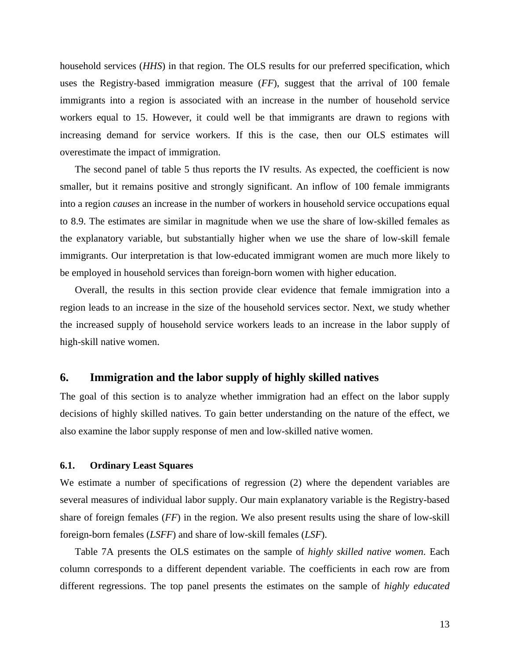household services (*HHS*) in that region. The OLS results for our preferred specification, which uses the Registry-based immigration measure (*FF*), suggest that the arrival of 100 female immigrants into a region is associated with an increase in the number of household service workers equal to 15. However, it could well be that immigrants are drawn to regions with increasing demand for service workers. If this is the case, then our OLS estimates will overestimate the impact of immigration.

The second panel of table 5 thus reports the IV results. As expected, the coefficient is now smaller, but it remains positive and strongly significant. An inflow of 100 female immigrants into a region *causes* an increase in the number of workers in household service occupations equal to 8.9. The estimates are similar in magnitude when we use the share of low-skilled females as the explanatory variable, but substantially higher when we use the share of low-skill female immigrants. Our interpretation is that low-educated immigrant women are much more likely to be employed in household services than foreign-born women with higher education.

Overall, the results in this section provide clear evidence that female immigration into a region leads to an increase in the size of the household services sector. Next, we study whether the increased supply of household service workers leads to an increase in the labor supply of high-skill native women.

#### **6. Immigration and the labor supply of highly skilled natives**

The goal of this section is to analyze whether immigration had an effect on the labor supply decisions of highly skilled natives. To gain better understanding on the nature of the effect, we also examine the labor supply response of men and low-skilled native women.

#### **6.1. Ordinary Least Squares**

We estimate a number of specifications of regression (2) where the dependent variables are several measures of individual labor supply. Our main explanatory variable is the Registry-based share of foreign females (*FF*) in the region. We also present results using the share of low-skill foreign-born females (*LSFF*) and share of low-skill females (*LSF*).

Table 7A presents the OLS estimates on the sample of *highly skilled native women*. Each column corresponds to a different dependent variable. The coefficients in each row are from different regressions. The top panel presents the estimates on the sample of *highly educated*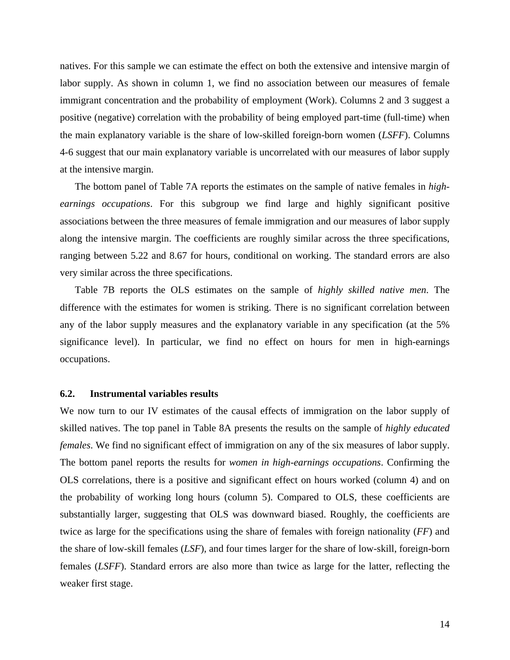natives. For this sample we can estimate the effect on both the extensive and intensive margin of labor supply. As shown in column 1, we find no association between our measures of female immigrant concentration and the probability of employment (Work). Columns 2 and 3 suggest a positive (negative) correlation with the probability of being employed part-time (full-time) when the main explanatory variable is the share of low-skilled foreign-born women (*LSFF*). Columns 4-6 suggest that our main explanatory variable is uncorrelated with our measures of labor supply at the intensive margin.

The bottom panel of Table 7A reports the estimates on the sample of native females in *highearnings occupations*. For this subgroup we find large and highly significant positive associations between the three measures of female immigration and our measures of labor supply along the intensive margin. The coefficients are roughly similar across the three specifications, ranging between 5.22 and 8.67 for hours, conditional on working. The standard errors are also very similar across the three specifications.

Table 7B reports the OLS estimates on the sample of *highly skilled native men*. The difference with the estimates for women is striking. There is no significant correlation between any of the labor supply measures and the explanatory variable in any specification (at the 5% significance level). In particular, we find no effect on hours for men in high-earnings occupations.

#### **6.2. Instrumental variables results**

We now turn to our IV estimates of the causal effects of immigration on the labor supply of skilled natives. The top panel in Table 8A presents the results on the sample of *highly educated females*. We find no significant effect of immigration on any of the six measures of labor supply. The bottom panel reports the results for *women in high-earnings occupations*. Confirming the OLS correlations, there is a positive and significant effect on hours worked (column 4) and on the probability of working long hours (column 5). Compared to OLS, these coefficients are substantially larger, suggesting that OLS was downward biased. Roughly, the coefficients are twice as large for the specifications using the share of females with foreign nationality (*FF*) and the share of low-skill females (*LSF*), and four times larger for the share of low-skill, foreign-born females (*LSFF*). Standard errors are also more than twice as large for the latter, reflecting the weaker first stage.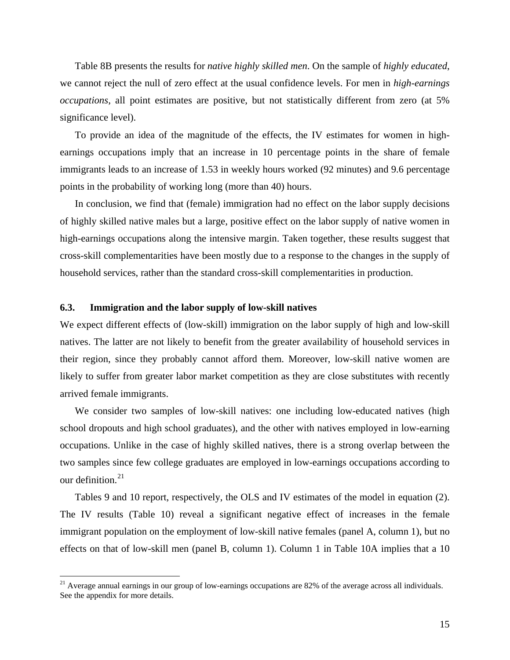<span id="page-18-0"></span>Table 8B presents the results for *native highly skilled men*. On the sample of *highly educated*, we cannot reject the null of zero effect at the usual confidence levels. For men in *high-earnings occupations*, all point estimates are positive, but not statistically different from zero (at 5% significance level).

To provide an idea of the magnitude of the effects, the IV estimates for women in highearnings occupations imply that an increase in 10 percentage points in the share of female immigrants leads to an increase of 1.53 in weekly hours worked (92 minutes) and 9.6 percentage points in the probability of working long (more than 40) hours.

In conclusion, we find that (female) immigration had no effect on the labor supply decisions of highly skilled native males but a large, positive effect on the labor supply of native women in high-earnings occupations along the intensive margin. Taken together, these results suggest that cross-skill complementarities have been mostly due to a response to the changes in the supply of household services, rather than the standard cross-skill complementarities in production.

#### **6.3. Immigration and the labor supply of low-skill natives**

 $\overline{a}$ 

We expect different effects of (low-skill) immigration on the labor supply of high and low-skill natives. The latter are not likely to benefit from the greater availability of household services in their region, since they probably cannot afford them. Moreover, low-skill native women are likely to suffer from greater labor market competition as they are close substitutes with recently arrived female immigrants.

We consider two samples of low-skill natives: one including low-educated natives (high school dropouts and high school graduates), and the other with natives employed in low-earning occupations. Unlike in the case of highly skilled natives, there is a strong overlap between the two samples since few college graduates are employed in low-earnings occupations according to our definition. $21$ 

Tables 9 and 10 report, respectively, the OLS and IV estimates of the model in equation (2). The IV results (Table 10) reveal a significant negative effect of increases in the female immigrant population on the employment of low-skill native females (panel A, column 1), but no effects on that of low-skill men (panel B, column 1). Column 1 in Table 10A implies that a 10

 $21$  Average annual earnings in our group of low-earnings occupations are 82% of the average across all individuals. See the appendix for more details.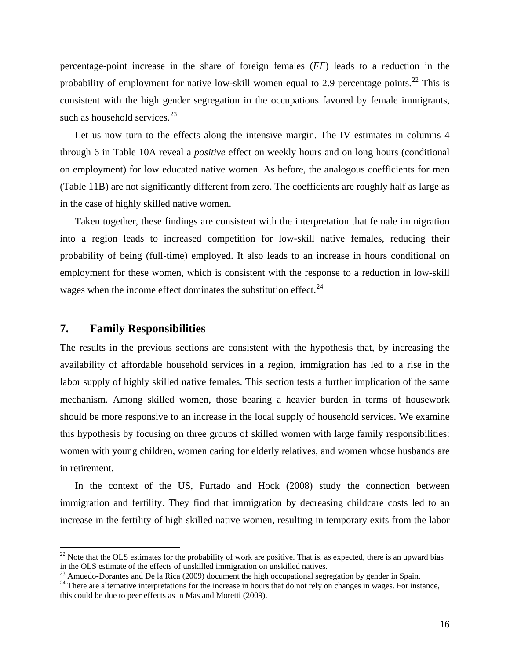<span id="page-19-0"></span>percentage-point increase in the share of foreign females (*FF*) leads to a reduction in the probability of employment for native low-skill women equal to 2.9 percentage points.<sup>22</sup> This is consistent with the high gender segregation in the occupations favored by female immigrants, such as household services. $23$ 

Let us now turn to the effects along the intensive margin. The IV estimates in columns 4 through 6 in Table 10A reveal a *positive* effect on weekly hours and on long hours (conditional on employment) for low educated native women. As before, the analogous coefficients for men (Table 11B) are not significantly different from zero. The coefficients are roughly half as large as in the case of highly skilled native women.

Taken together, these findings are consistent with the interpretation that female immigration into a region leads to increased competition for low-skill native females, reducing their probability of being (full-time) employed. It also leads to an increase in hours conditional on employment for these women, which is consistent with the response to a reduction in low-skill wages when the income effect dominates the substitution effect. $^{24}$  $^{24}$  $^{24}$ 

#### **7. Family Responsibilities**

 $\overline{a}$ 

The results in the previous sections are consistent with the hypothesis that, by increasing the availability of affordable household services in a region, immigration has led to a rise in the labor supply of highly skilled native females. This section tests a further implication of the same mechanism. Among skilled women, those bearing a heavier burden in terms of housework should be more responsive to an increase in the local supply of household services. We examine this hypothesis by focusing on three groups of skilled women with large family responsibilities: women with young children, women caring for elderly relatives, and women whose husbands are in retirement.

In the context of the US, Furtado and Hock (2008) study the connection between immigration and fertility. They find that immigration by decreasing childcare costs led to an increase in the fertility of high skilled native women, resulting in temporary exits from the labor

 $22$  Note that the OLS estimates for the probability of work are positive. That is, as expected, there is an upward bias in the OLS estimate of the effects of unskilled immigration on unskilled natives.

 $^{23}$  Amuedo-Dorantes and De la Rica (2009) document the high occupational segregation by gender in Spain.

<sup>&</sup>lt;sup>24</sup> There are alternative interpretations for the increase in hours that do not rely on changes in wages. For instance, this could be due to peer effects as in Mas and Moretti (2009).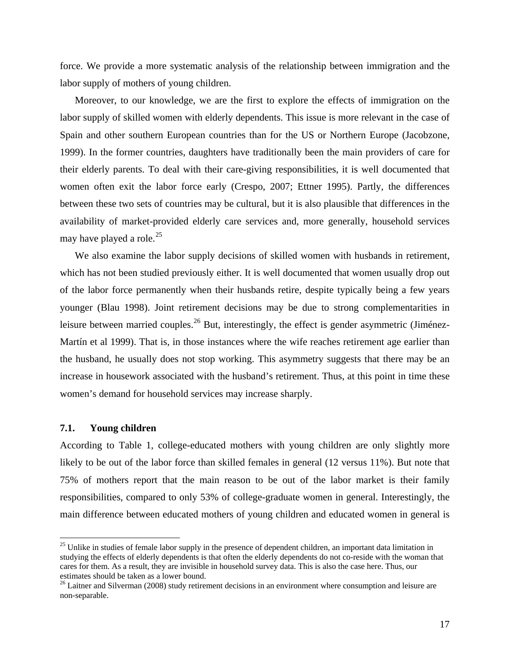<span id="page-20-0"></span>force. We provide a more systematic analysis of the relationship between immigration and the labor supply of mothers of young children.

Moreover, to our knowledge, we are the first to explore the effects of immigration on the labor supply of skilled women with elderly dependents. This issue is more relevant in the case of Spain and other southern European countries than for the US or Northern Europe (Jacobzone, 1999). In the former countries, daughters have traditionally been the main providers of care for their elderly parents. To deal with their care-giving responsibilities, it is well documented that women often exit the labor force early (Crespo, 2007; Ettner 1995). Partly, the differences between these two sets of countries may be cultural, but it is also plausible that differences in the availability of market-provided elderly care services and, more generally, household services may have played a role. $^{25}$ 

We also examine the labor supply decisions of skilled women with husbands in retirement, which has not been studied previously either. It is well documented that women usually drop out of the labor force permanently when their husbands retire, despite typically being a few years younger (Blau 1998). Joint retirement decisions may be due to strong complementarities in leisure between married couples.<sup>26</sup> But, interestingly, the effect is gender asymmetric (Jiménez-Martín et al 1999). That is, in those instances where the wife reaches retirement age earlier than the husband, he usually does not stop working. This asymmetry suggests that there may be an increase in housework associated with the husband's retirement. Thus, at this point in time these women's demand for household services may increase sharply.

#### **7.1. Young children**

 $\overline{a}$ 

According to Table 1, college-educated mothers with young children are only slightly more likely to be out of the labor force than skilled females in general (12 versus 11%). But note that 75% of mothers report that the main reason to be out of the labor market is their family responsibilities, compared to only 53% of college-graduate women in general. Interestingly, the main difference between educated mothers of young children and educated women in general is

 $^{25}$  Unlike in studies of female labor supply in the presence of dependent children, an important data limitation in studying the effects of elderly dependents is that often the elderly dependents do not co-reside with the woman that cares for them. As a result, they are invisible in household survey data. This is also the case here. Thus, our estimates should be taken as a lower bound.

<sup>&</sup>lt;sup>26</sup> Laitner and Silverman (2008) study retirement decisions in an environment where consumption and leisure are non-separable.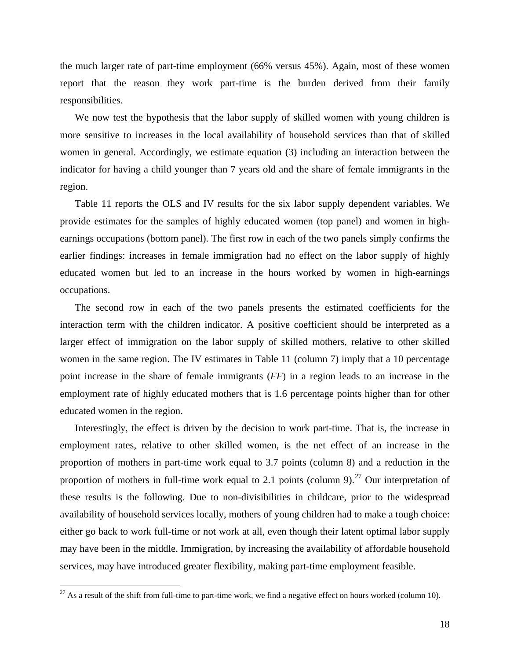<span id="page-21-0"></span>the much larger rate of part-time employment (66% versus 45%). Again, most of these women report that the reason they work part-time is the burden derived from their family responsibilities.

 We now test the hypothesis that the labor supply of skilled women with young children is more sensitive to increases in the local availability of household services than that of skilled women in general. Accordingly, we estimate equation (3) including an interaction between the indicator for having a child younger than 7 years old and the share of female immigrants in the region.

 Table 11 reports the OLS and IV results for the six labor supply dependent variables. We provide estimates for the samples of highly educated women (top panel) and women in highearnings occupations (bottom panel). The first row in each of the two panels simply confirms the earlier findings: increases in female immigration had no effect on the labor supply of highly educated women but led to an increase in the hours worked by women in high-earnings occupations.

 The second row in each of the two panels presents the estimated coefficients for the interaction term with the children indicator. A positive coefficient should be interpreted as a larger effect of immigration on the labor supply of skilled mothers, relative to other skilled women in the same region. The IV estimates in Table 11 (column 7) imply that a 10 percentage point increase in the share of female immigrants (*FF*) in a region leads to an increase in the employment rate of highly educated mothers that is 1.6 percentage points higher than for other educated women in the region.

 Interestingly, the effect is driven by the decision to work part-time. That is, the increase in employment rates, relative to other skilled women, is the net effect of an increase in the proportion of mothers in part-time work equal to 3.7 points (column 8) and a reduction in the proportion of mothers in full-time work equal to 2.1 points (column 9).<sup>[27](#page-21-0)</sup> Our interpretation of these results is the following. Due to non-divisibilities in childcare, prior to the widespread availability of household services locally, mothers of young children had to make a tough choice: either go back to work full-time or not work at all, even though their latent optimal labor supply may have been in the middle. Immigration, by increasing the availability of affordable household services, may have introduced greater flexibility, making part-time employment feasible.

 $\overline{a}$ 

<sup>&</sup>lt;sup>27</sup> As a result of the shift from full-time to part-time work, we find a negative effect on hours worked (column 10).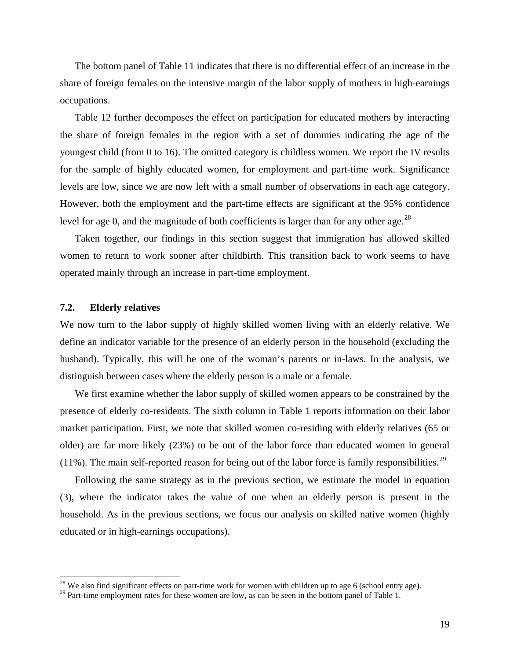<span id="page-22-0"></span> The bottom panel of Table 11 indicates that there is no differential effect of an increase in the share of foreign females on the intensive margin of the labor supply of mothers in high-earnings occupations.

 Table 12 further decomposes the effect on participation for educated mothers by interacting the share of foreign females in the region with a set of dummies indicating the age of the youngest child (from 0 to 16). The omitted category is childless women. We report the IV results for the sample of highly educated women, for employment and part-time work. Significance levels are low, since we are now left with a small number of observations in each age category. However, both the employment and the part-time effects are significant at the 95% confidence level for age 0, and the magnitude of both coefficients is larger than for any other age.<sup>[28](#page-22-0)</sup>

 Taken together, our findings in this section suggest that immigration has allowed skilled women to return to work sooner after childbirth. This transition back to work seems to have operated mainly through an increase in part-time employment.

#### **7.2. Elderly relatives**

1

We now turn to the labor supply of highly skilled women living with an elderly relative. We define an indicator variable for the presence of an elderly person in the household (excluding the husband). Typically, this will be one of the woman's parents or in-laws. In the analysis, we distinguish between cases where the elderly person is a male or a female.

We first examine whether the labor supply of skilled women appears to be constrained by the presence of elderly co-residents. The sixth column in Table 1 reports information on their labor market participation. First, we note that skilled women co-residing with elderly relatives (65 or older) are far more likely (23%) to be out of the labor force than educated women in general (11%). The main self-reported reason for being out of the labor force is family responsibilities.<sup>[29](#page-22-0)</sup>

Following the same strategy as in the previous section, we estimate the model in equation (3), where the indicator takes the value of one when an elderly person is present in the household. As in the previous sections, we focus our analysis on skilled native women (highly educated or in high-earnings occupations).

<sup>&</sup>lt;sup>28</sup> We also find significant effects on part-time work for women with children up to age 6 (school entry age).

<sup>&</sup>lt;sup>29</sup> Part-time employment rates for these women are low, as can be seen in the bottom panel of Table 1.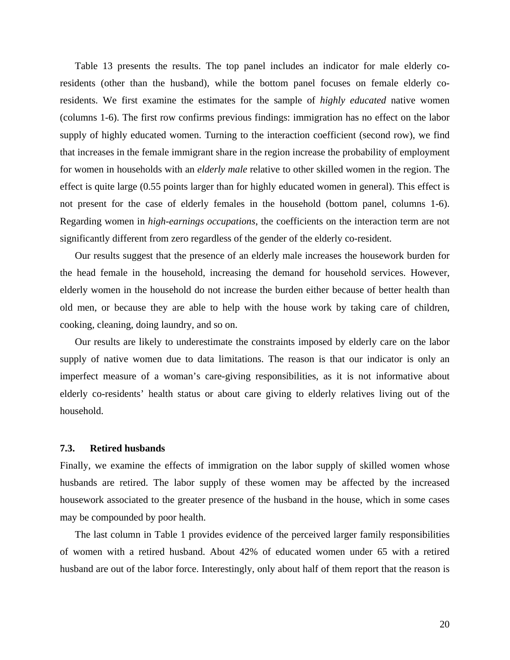Table 13 presents the results. The top panel includes an indicator for male elderly coresidents (other than the husband), while the bottom panel focuses on female elderly coresidents. We first examine the estimates for the sample of *highly educated* native women (columns 1-6). The first row confirms previous findings: immigration has no effect on the labor supply of highly educated women. Turning to the interaction coefficient (second row), we find that increases in the female immigrant share in the region increase the probability of employment for women in households with an *elderly male* relative to other skilled women in the region. The effect is quite large (0.55 points larger than for highly educated women in general). This effect is not present for the case of elderly females in the household (bottom panel, columns 1-6). Regarding women in *high-earnings occupations*, the coefficients on the interaction term are not significantly different from zero regardless of the gender of the elderly co-resident.

Our results suggest that the presence of an elderly male increases the housework burden for the head female in the household, increasing the demand for household services. However, elderly women in the household do not increase the burden either because of better health than old men, or because they are able to help with the house work by taking care of children, cooking, cleaning, doing laundry, and so on.

Our results are likely to underestimate the constraints imposed by elderly care on the labor supply of native women due to data limitations. The reason is that our indicator is only an imperfect measure of a woman's care-giving responsibilities, as it is not informative about elderly co-residents' health status or about care giving to elderly relatives living out of the household.

#### **7.3. Retired husbands**

Finally, we examine the effects of immigration on the labor supply of skilled women whose husbands are retired. The labor supply of these women may be affected by the increased housework associated to the greater presence of the husband in the house, which in some cases may be compounded by poor health.

The last column in Table 1 provides evidence of the perceived larger family responsibilities of women with a retired husband. About 42% of educated women under 65 with a retired husband are out of the labor force. Interestingly, only about half of them report that the reason is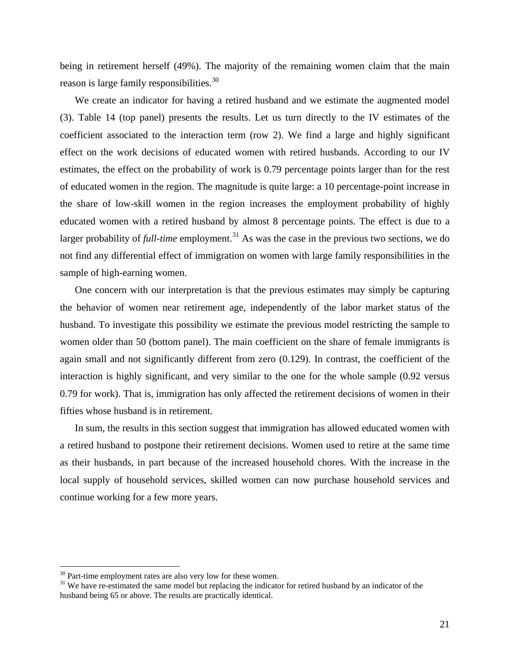<span id="page-24-0"></span>being in retirement herself (49%). The majority of the remaining women claim that the main reason is large family responsibilities.<sup>[30](#page-24-0)</sup>

We create an indicator for having a retired husband and we estimate the augmented model (3). Table 14 (top panel) presents the results. Let us turn directly to the IV estimates of the coefficient associated to the interaction term (row 2). We find a large and highly significant effect on the work decisions of educated women with retired husbands. According to our IV estimates, the effect on the probability of work is 0.79 percentage points larger than for the rest of educated women in the region. The magnitude is quite large: a 10 percentage-point increase in the share of low-skill women in the region increases the employment probability of highly educated women with a retired husband by almost 8 percentage points. The effect is due to a larger probability of *full-time* employment.<sup>[31](#page-24-0)</sup> As was the case in the previous two sections, we do not find any differential effect of immigration on women with large family responsibilities in the sample of high-earning women.

One concern with our interpretation is that the previous estimates may simply be capturing the behavior of women near retirement age, independently of the labor market status of the husband. To investigate this possibility we estimate the previous model restricting the sample to women older than 50 (bottom panel). The main coefficient on the share of female immigrants is again small and not significantly different from zero (0.129). In contrast, the coefficient of the interaction is highly significant, and very similar to the one for the whole sample (0.92 versus 0.79 for work). That is, immigration has only affected the retirement decisions of women in their fifties whose husband is in retirement.

In sum, the results in this section suggest that immigration has allowed educated women with a retired husband to postpone their retirement decisions. Women used to retire at the same time as their husbands, in part because of the increased household chores. With the increase in the local supply of household services, skilled women can now purchase household services and continue working for a few more years.

 $\overline{a}$ 

 $30$  Part-time employment rates are also very low for these women.

<sup>&</sup>lt;sup>31</sup> We have re-estimated the same model but replacing the indicator for retired husband by an indicator of the husband being 65 or above. The results are practically identical.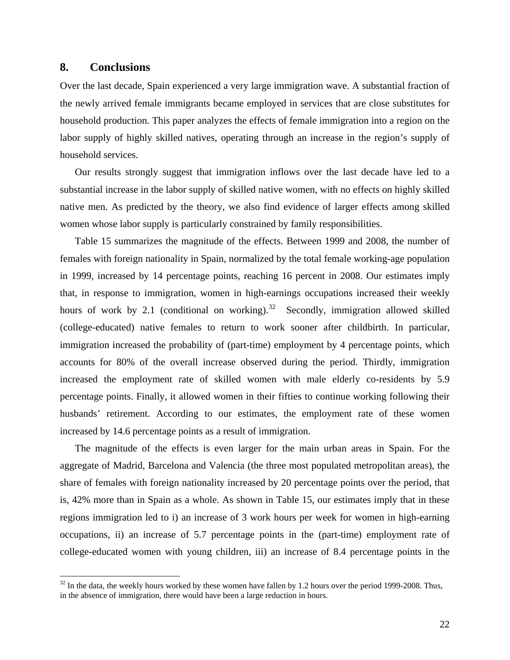#### <span id="page-25-0"></span>**8. Conclusions**

1

Over the last decade, Spain experienced a very large immigration wave. A substantial fraction of the newly arrived female immigrants became employed in services that are close substitutes for household production. This paper analyzes the effects of female immigration into a region on the labor supply of highly skilled natives, operating through an increase in the region's supply of household services.

Our results strongly suggest that immigration inflows over the last decade have led to a substantial increase in the labor supply of skilled native women, with no effects on highly skilled native men. As predicted by the theory, we also find evidence of larger effects among skilled women whose labor supply is particularly constrained by family responsibilities.

Table 15 summarizes the magnitude of the effects. Between 1999 and 2008, the number of females with foreign nationality in Spain, normalized by the total female working-age population in 1999, increased by 14 percentage points, reaching 16 percent in 2008. Our estimates imply that, in response to immigration, women in high-earnings occupations increased their weekly hours of work by 2.1 (conditional on working).<sup>32</sup> Secondly, immigration allowed skilled (college-educated) native females to return to work sooner after childbirth. In particular, immigration increased the probability of (part-time) employment by 4 percentage points, which accounts for 80% of the overall increase observed during the period. Thirdly, immigration increased the employment rate of skilled women with male elderly co-residents by 5.9 percentage points. Finally, it allowed women in their fifties to continue working following their husbands' retirement. According to our estimates, the employment rate of these women increased by 14.6 percentage points as a result of immigration.

The magnitude of the effects is even larger for the main urban areas in Spain. For the aggregate of Madrid, Barcelona and Valencia (the three most populated metropolitan areas), the share of females with foreign nationality increased by 20 percentage points over the period, that is, 42% more than in Spain as a whole. As shown in Table 15, our estimates imply that in these regions immigration led to i) an increase of 3 work hours per week for women in high-earning occupations, ii) an increase of 5.7 percentage points in the (part-time) employment rate of college-educated women with young children, iii) an increase of 8.4 percentage points in the

 $32$  In the data, the weekly hours worked by these women have fallen by 1.2 hours over the period 1999-2008. Thus, in the absence of immigration, there would have been a large reduction in hours.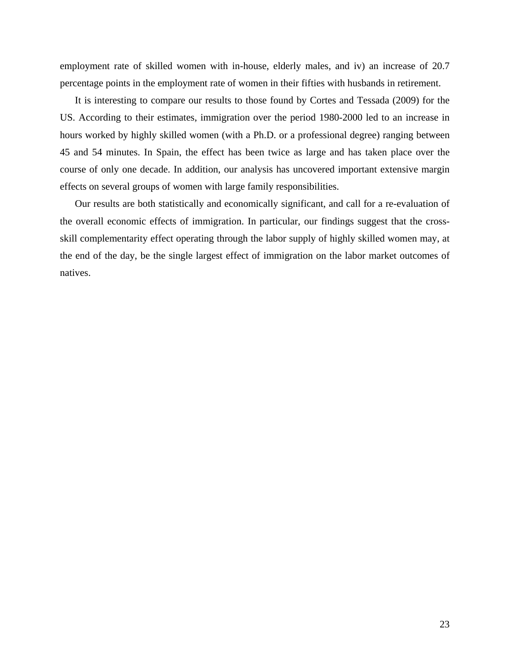employment rate of skilled women with in-house, elderly males, and iv) an increase of 20.7 percentage points in the employment rate of women in their fifties with husbands in retirement.

It is interesting to compare our results to those found by Cortes and Tessada (2009) for the US. According to their estimates, immigration over the period 1980-2000 led to an increase in hours worked by highly skilled women (with a Ph.D. or a professional degree) ranging between 45 and 54 minutes. In Spain, the effect has been twice as large and has taken place over the course of only one decade. In addition, our analysis has uncovered important extensive margin effects on several groups of women with large family responsibilities.

Our results are both statistically and economically significant, and call for a re-evaluation of the overall economic effects of immigration. In particular, our findings suggest that the crossskill complementarity effect operating through the labor supply of highly skilled women may, at the end of the day, be the single largest effect of immigration on the labor market outcomes of natives.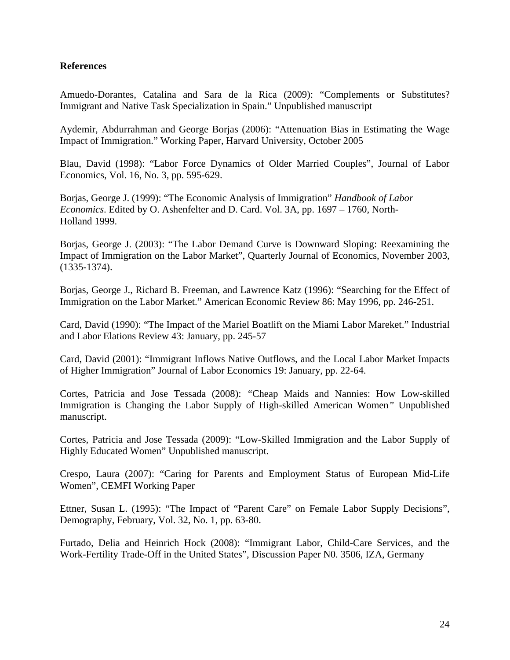#### **References**

Amuedo-Dorantes, Catalina and Sara de la Rica (2009): "Complements or Substitutes? Immigrant and Native Task Specialization in Spain." Unpublished manuscript

Aydemir, Abdurrahman and George Borjas (2006): "Attenuation Bias in Estimating the Wage Impact of Immigration." Working Paper, Harvard University, October 2005

Blau, David (1998): "Labor Force Dynamics of Older Married Couples", Journal of Labor Economics, Vol. 16, No. 3, pp. 595-629.

Borjas, George J. (1999): "The Economic Analysis of Immigration" *Handbook of Labor Economics*. Edited by O. Ashenfelter and D. Card. Vol. 3A, pp. 1697 – 1760, North-Holland 1999.

Borjas, George J. (2003): "The Labor Demand Curve is Downward Sloping: Reexamining the Impact of Immigration on the Labor Market", Quarterly Journal of Economics, November 2003, (1335-1374).

Borjas, George J., Richard B. Freeman, and Lawrence Katz (1996): "Searching for the Effect of Immigration on the Labor Market." American Economic Review 86: May 1996, pp. 246-251.

Card, David (1990): "The Impact of the Mariel Boatlift on the Miami Labor Mareket." Industrial and Labor Elations Review 43: January, pp. 245-57

Card, David (2001): "Immigrant Inflows Native Outflows, and the Local Labor Market Impacts of Higher Immigration" Journal of Labor Economics 19: January, pp. 22-64.

Cortes, Patricia and Jose Tessada (2008): *"*Cheap Maids and Nannies: How Low-skilled Immigration is Changing the Labor Supply of High-skilled American Women*"* Unpublished manuscript.

Cortes, Patricia and Jose Tessada (2009): "Low-Skilled Immigration and the Labor Supply of Highly Educated Women" Unpublished manuscript.

Crespo, Laura (2007): "Caring for Parents and Employment Status of European Mid-Life Women", CEMFI Working Paper

Ettner, Susan L. (1995): "The Impact of "Parent Care" on Female Labor Supply Decisions", Demography, February, Vol. 32, No. 1, pp. 63-80.

Furtado, Delia and Heinrich Hock (2008): "Immigrant Labor, Child-Care Services, and the Work-Fertility Trade-Off in the United States", Discussion Paper N0. 3506, IZA, Germany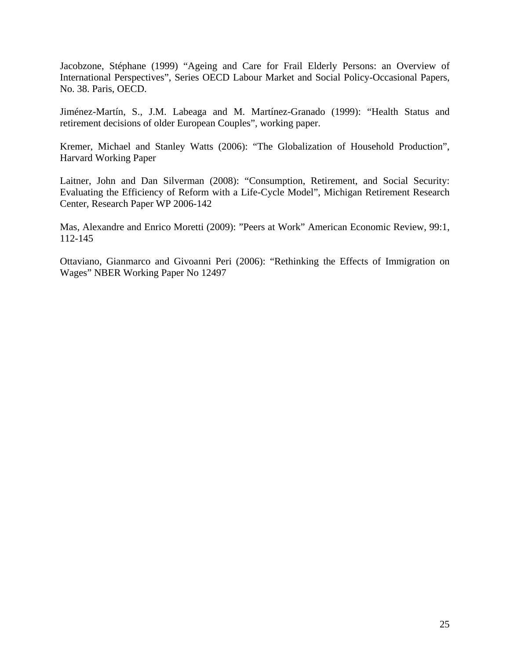Jacobzone, Stéphane (1999) "Ageing and Care for Frail Elderly Persons: an Overview of International Perspectives", Series OECD Labour Market and Social Policy-Occasional Papers, No. 38. Paris, OECD.

Jiménez-Martín, S., J.M. Labeaga and M. Martínez-Granado (1999): "Health Status and retirement decisions of older European Couples", working paper.

Kremer, Michael and Stanley Watts (2006): "The Globalization of Household Production", Harvard Working Paper

Laitner, John and Dan Silverman (2008): "Consumption, Retirement, and Social Security: Evaluating the Efficiency of Reform with a Life-Cycle Model", Michigan Retirement Research Center, Research Paper WP 2006-142

Mas, Alexandre and Enrico Moretti (2009): "Peers at Work" American Economic Review, 99:1, 112-145

Ottaviano, Gianmarco and Givoanni Peri (2006): "Rethinking the Effects of Immigration on Wages" NBER Working Paper No 12497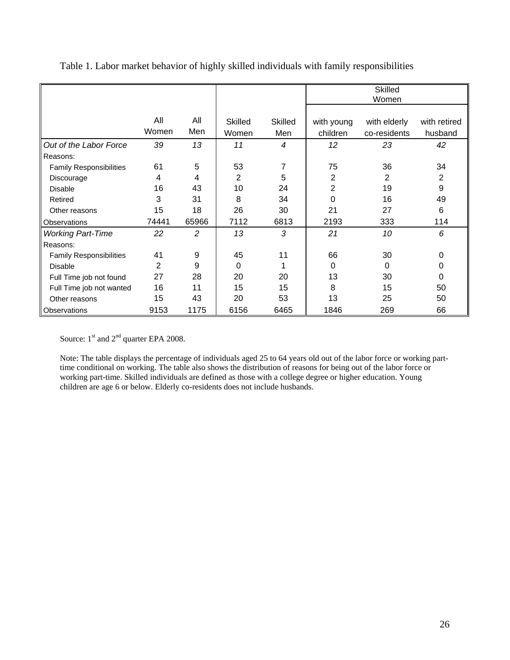|                                |                |                |                |                  | <b>Skilled</b><br>Women |              |              |
|--------------------------------|----------------|----------------|----------------|------------------|-------------------------|--------------|--------------|
|                                |                |                |                |                  |                         |              |              |
|                                | All            | All            | <b>Skilled</b> | <b>Skilled</b>   | with young              | with elderly | with retired |
|                                | Women          | Men            | Women          | Men              | children                | co-residents | husband      |
| Out of the Labor Force         | 39             | 13             | 11             | $\boldsymbol{4}$ | 12                      | 23           | 42           |
| Reasons:                       |                |                |                |                  |                         |              |              |
| <b>Family Responsibilities</b> | 61             | 5              | 53             | 7                | 75                      | 36           | 34           |
| Discourage                     | 4              | 4              | 2              | 5                | $\overline{2}$          | 2            | 2            |
| <b>Disable</b>                 | 16             | 43             | 10             | 24               | $\overline{2}$          | 19           | 9            |
| Retired                        | 3              | 31             | 8              | 34               | 0                       | 16           | 49           |
| Other reasons                  | 15             | 18             | 26             | 30               | 21                      | 27           | 6            |
| Observations                   | 74441          | 65966          | 7112           | 6813             | 2193                    | 333          | 114          |
| <b>Working Part-Time</b>       | 22             | $\overline{2}$ | 13             | 3                | 21                      | 10           | 6            |
| Reasons:                       |                |                |                |                  |                         |              |              |
| <b>Family Responsibilities</b> | 41             | 9              | 45             | 11               | 66                      | 30           | 0            |
| <b>Disable</b>                 | $\overline{2}$ | 9              | 0              |                  | 0                       | 0            | 0            |
| Full Time job not found        | 27             | 28             | 20             | 20               | 13                      | 30           | $\Omega$     |
| Full Time job not wanted       | 16             | 11             | 15             | 15               | 8                       | 15           | 50           |
| Other reasons                  | 15             | 43             | 20             | 53               | 13                      | 25           | 50           |
| Observations                   | 9153           | 1175           | 6156           | 6465             | 1846                    | 269          | 66           |

Table 1. Labor market behavior of highly skilled individuals with family responsibilities

Source:  $1<sup>st</sup>$  and  $2<sup>nd</sup>$  quarter EPA 2008.

Note: The table displays the percentage of individuals aged 25 to 64 years old out of the labor force or working parttime conditional on working. The table also shows the distribution of reasons for being out of the labor force or working part-time. Skilled individuals are defined as those with a college degree or higher education. Young children are age 6 or below. Elderly co-residents does not include husbands.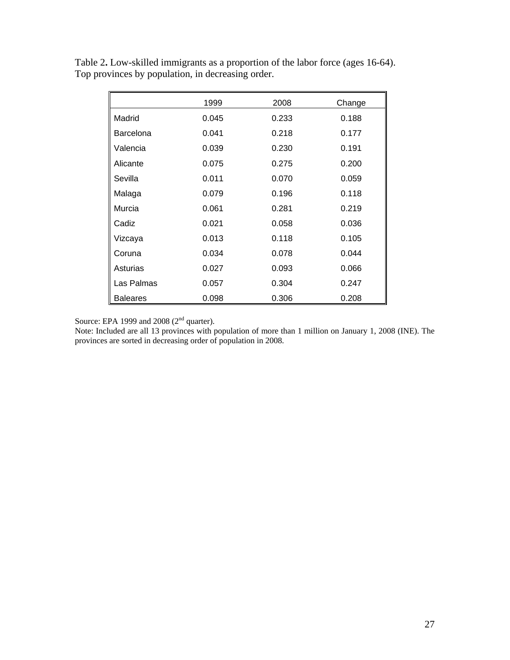|                 | 1999  | 2008  | Change |
|-----------------|-------|-------|--------|
| Madrid          | 0.045 | 0.233 | 0.188  |
| Barcelona       | 0.041 | 0.218 | 0.177  |
| Valencia        | 0.039 | 0.230 | 0.191  |
| Alicante        | 0.075 | 0.275 | 0.200  |
| Sevilla         | 0.011 | 0.070 | 0.059  |
| Malaga          | 0.079 | 0.196 | 0.118  |
| Murcia          | 0.061 | 0.281 | 0.219  |
| Cadiz           | 0.021 | 0.058 | 0.036  |
| Vizcaya         | 0.013 | 0.118 | 0.105  |
| Coruna          | 0.034 | 0.078 | 0.044  |
| Asturias        | 0.027 | 0.093 | 0.066  |
| Las Palmas      | 0.057 | 0.304 | 0.247  |
| <b>Baleares</b> | 0.098 | 0.306 | 0.208  |

Table 2**.** Low-skilled immigrants as a proportion of the labor force (ages 16-64). Top provinces by population, in decreasing order.

Source: EPA 1999 and 2008  $(2<sup>nd</sup>$  quarter).

Note: Included are all 13 provinces with population of more than 1 million on January 1, 2008 (INE). The provinces are sorted in decreasing order of population in 2008.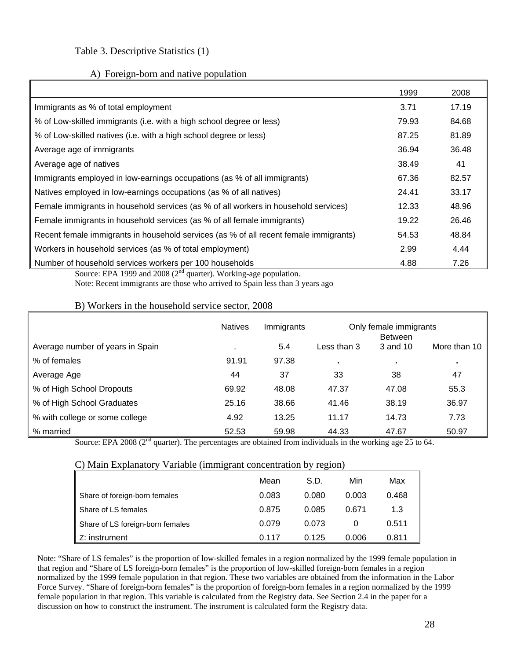#### Table 3. Descriptive Statistics (1)

#### A) Foreign-born and native population

|                                                                                       | 1999  | 2008  |
|---------------------------------------------------------------------------------------|-------|-------|
| Immigrants as % of total employment                                                   | 3.71  | 17.19 |
| % of Low-skilled immigrants (i.e. with a high school degree or less)                  | 79.93 | 84.68 |
| % of Low-skilled natives (i.e. with a high school degree or less)                     | 87.25 | 81.89 |
| Average age of immigrants                                                             | 36.94 | 36.48 |
| Average age of natives                                                                | 38.49 | 41    |
| Immigrants employed in low-earnings occupations (as % of all immigrants)              | 67.36 | 82.57 |
| Natives employed in low-earnings occupations (as % of all natives)                    | 24.41 | 33.17 |
| Female immigrants in household services (as % of all workers in household services)   | 12.33 | 48.96 |
| Female immigrants in household services (as % of all female immigrants)               | 19.22 | 26.46 |
| Recent female immigrants in household services (as % of all recent female immigrants) | 54.53 | 48.84 |
| Workers in household services (as % of total employment)                              | 2.99  | 4.44  |
| Number of household services workers per 100 households                               | 4.88  | 7.26  |

Source: EPA 1999 and 2008 ( $2<sup>nd</sup>$  quarter). Working-age population.

Note: Recent immigrants are those who arrived to Spain less than 3 years ago

#### B) Workers in the household service sector, 2008

|                                  | <b>Natives</b> | Immigrants | Only female immigrants |                |              |  |
|----------------------------------|----------------|------------|------------------------|----------------|--------------|--|
|                                  |                |            |                        | <b>Between</b> |              |  |
| Average number of years in Spain |                | 5.4        | Less than 3            | 3 and 10       | More than 10 |  |
| % of females                     | 91.91          | 97.38      | $\blacksquare$         | $\bullet$      |              |  |
| Average Age                      | 44             | 37         | 33                     | 38             | 47           |  |
| % of High School Dropouts        | 69.92          | 48.08      | 47.37                  | 47.08          | 55.3         |  |
| % of High School Graduates       | 25.16          | 38.66      | 41.46                  | 38.19          | 36.97        |  |
| % with college or some college   | 4.92           | 13.25      | 11.17                  | 14.73          | 7.73         |  |
| % married                        | 52.53          | 59.98      | 44.33                  | 47.67          | 50.97        |  |

Source: EPA 2008 ( $2<sup>nd</sup>$  quarter). The percentages are obtained from individuals in the working age 25 to 64.

#### C) Main Explanatory Variable (immigrant concentration by region)

|                                  | Mean  | S.D.  | Min   | Max   |
|----------------------------------|-------|-------|-------|-------|
| Share of foreign-born females    | 0.083 | 0.080 | 0.003 | 0.468 |
| Share of LS females              | 0.875 | 0.085 | 0.671 | 1.3   |
| Share of LS foreign-born females | 0.079 | 0.073 |       | 0.511 |
| Z: instrument                    | 0.117 | 0.125 | 0.006 | 0.811 |

Note: "Share of LS females" is the proportion of low-skilled females in a region normalized by the 1999 female population in that region and "Share of LS foreign-born females" is the proportion of low-skilled foreign-born females in a region normalized by the 1999 female population in that region. These two variables are obtained from the information in the Labor Force Survey. "Share of foreign-born females" is the proportion of foreign-born females in a region normalized by the 1999 female population in that region. This variable is calculated from the Registry data. See Section 2.4 in the paper for a discussion on how to construct the instrument. The instrument is calculated form the Registry data.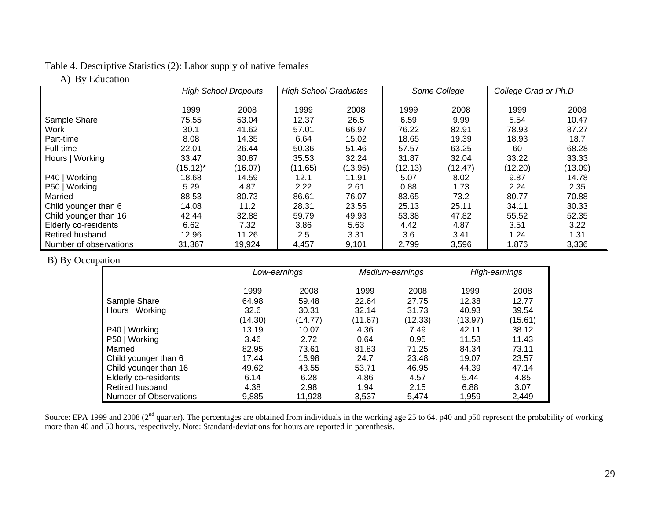#### Table 4. Descriptive Statistics (2): Labor supply of native females

### A) By Education

|                        | <b>High School Dropouts</b> |         | <b>High School Graduates</b> |         | Some College |         | College Grad or Ph.D |         |
|------------------------|-----------------------------|---------|------------------------------|---------|--------------|---------|----------------------|---------|
|                        |                             |         |                              |         |              |         |                      |         |
|                        | 1999                        | 2008    | 1999                         | 2008    | 1999         | 2008    | 1999                 | 2008    |
| Sample Share           | 75.55                       | 53.04   | 12.37                        | 26.5    | 6.59         | 9.99    | 5.54                 | 10.47   |
| Work                   | 30.1                        | 41.62   | 57.01                        | 66.97   | 76.22        | 82.91   | 78.93                | 87.27   |
| Part-time              | 8.08                        | 14.35   | 6.64                         | 15.02   | 18.65        | 19.39   | 18.93                | 18.7    |
| Full-time              | 22.01                       | 26.44   | 50.36                        | 51.46   | 57.57        | 63.25   | 60                   | 68.28   |
| Hours   Working        | 33.47                       | 30.87   | 35.53                        | 32.24   | 31.87        | 32.04   | 33.22                | 33.33   |
|                        | $(15.12)^*$                 | (16.07) | (11.65)                      | (13.95) | (12.13)      | (12.47) | (12.20)              | (13.09) |
| P40   Working          | 18.68                       | 14.59   | 12.1                         | 11.91   | 5.07         | 8.02    | 9.87                 | 14.78   |
| P50   Working          | 5.29                        | 4.87    | 2.22                         | 2.61    | 0.88         | 1.73    | 2.24                 | 2.35    |
| Married                | 88.53                       | 80.73   | 86.61                        | 76.07   | 83.65        | 73.2    | 80.77                | 70.88   |
| Child younger than 6   | 14.08                       | 11.2    | 28.31                        | 23.55   | 25.13        | 25.11   | 34.11                | 30.33   |
| Child younger than 16  | 42.44                       | 32.88   | 59.79                        | 49.93   | 53.38        | 47.82   | 55.52                | 52.35   |
| Elderly co-residents   | 6.62                        | 7.32    | 3.86                         | 5.63    | 4.42         | 4.87    | 3.51                 | 3.22    |
| Retired husband        | 12.96                       | 11.26   | 2.5                          | 3.31    | 3.6          | 3.41    | 1.24                 | 1.31    |
| Number of observations | 31,367                      | 19,924  | 4,457                        | 9,101   | 2,799        | 3,596   | 1,876                | 3,336   |

#### B) By Occupation

|                               | Low-earnings |         |         | Medium-earnings |         | High-earnings |  |
|-------------------------------|--------------|---------|---------|-----------------|---------|---------------|--|
|                               | 1999         | 2008    | 1999    | 2008            | 1999    | 2008          |  |
| Sample Share                  | 64.98        | 59.48   | 22.64   | 27.75           | 12.38   | 12.77         |  |
| Hours   Working               | 32.6         | 30.31   | 32.14   | 31.73           | 40.93   | 39.54         |  |
|                               | (14.30)      | (14.77) | (11.67) | (12.33)         | (13.97) | (15.61)       |  |
| P40   Working                 | 13.19        | 10.07   | 4.36    | 7.49            | 42.11   | 38.12         |  |
| P50   Working                 | 3.46         | 2.72    | 0.64    | 0.95            | 11.58   | 11.43         |  |
| Married                       | 82.95        | 73.61   | 81.83   | 71.25           | 84.34   | 73.11         |  |
| Child younger than 6          | 17.44        | 16.98   | 24.7    | 23.48           | 19.07   | 23.57         |  |
| Child younger than 16         | 49.62        | 43.55   | 53.71   | 46.95           | 44.39   | 47.14         |  |
| Elderly co-residents          | 6.14         | 6.28    | 4.86    | 4.57            | 5.44    | 4.85          |  |
| <b>Retired husband</b>        | 4.38         | 2.98    | 1.94    | 2.15            | 6.88    | 3.07          |  |
| <b>Number of Observations</b> | 9,885        | 11,928  | 3,537   | 5.474           | 1,959   | 2,449         |  |

Source: EPA 1999 and 2008 (2<sup>nd</sup> quarter). The percentages are obtained from individuals in the working age 25 to 64. p40 and p50 represent the probability of working more than 40 and 50 hours, respectively. Note: Standard-deviations for hours are reported in parenthesis.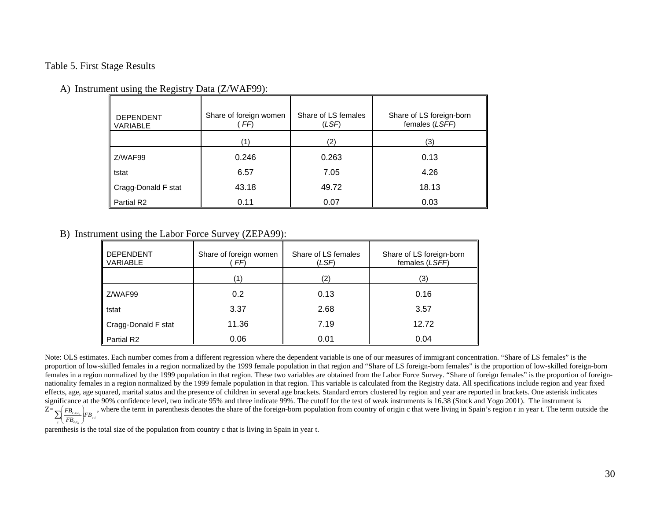#### Table 5. First Stage Results

| <b>DEPENDENT</b><br><b>VARIABLE</b> | Share of foreign women<br>FF) | Share of LS females<br>(LSF) | Share of LS foreign-born<br>females (LSFF) |
|-------------------------------------|-------------------------------|------------------------------|--------------------------------------------|
|                                     | (1)                           | (2)                          | (3)                                        |
| Z/WAF99                             | 0.246                         | 0.263                        | 0.13                                       |
| tstat                               | 6.57                          | 7.05                         | 4.26                                       |
| Cragg-Donald F stat                 | 43.18                         | 49.72                        | 18.13                                      |
| Partial R <sub>2</sub>              | 0.11                          | 0.07                         | 0.03                                       |

#### A) Instrument using the Registry Data (Z/WAF99):

#### B) Instrument using the Labor Force Survey (ZEPA99):

| <b>DEPENDENT</b><br>VARIABLE | Share of foreign women<br>FF) | Share of LS females<br>(LSF) | Share of LS foreign-born<br>females (LSFF) |
|------------------------------|-------------------------------|------------------------------|--------------------------------------------|
|                              | '1'                           | (2)                          | (3)                                        |
| Z/WAF99                      | 0.2                           | 0.13                         | 0.16                                       |
| tstat                        | 3.37                          | 2.68                         | 3.57                                       |
| Cragg-Donald F stat          | 11.36                         | 7.19                         | 12.72                                      |
| Partial R <sub>2</sub>       | 0.06                          | 0.01                         | 0.04                                       |

Note: OLS estimates. Each number comes from a different regression where the dependent variable is one of our measures of immigrant concentration. "Share of LS females" is the proportion of low-skilled females in a region normalized by the 1999 female population in that region and "Share of LS foreign-born females" is the proportion of low-skilled foreign-born females in a region normalized by the 1999 population in that region. These two variables are obtained from the Labor Force Survey. "Share of foreign females" is the proportion of foreignnationality females in a region normalized by the 1999 female population in that region. This variable is calculated from the Registry data. All specifications include region and year fixed effects, age, age squared, marital status and the presence of children in several age brackets. Standard errors clustered by region and year are reported in brackets. One asterisk indicates significance at the 90% confidence level, two indicate 95% and three indicate 99%. The cutoff for the test of weak instruments is 16.38 (Stock and Yogo 2001). The instrument is  $Z=\sum_{c}\left(\frac{FB_{r,c,t_0}}{FB_{c,t_0}}\right)$  $\mathcal{C}_{\mathcal{A}}$  $\sum_{c} \left( \frac{FB_{r,c,t_0}}{FB_{c,t_0}} \right) FB_{c,t}$ , where the term in parenthesis denotes the share of the foreign-born population from country of origin c that were living in Spain's region r in year t. The term outside the

parenthesis is the total size of the population from country c that is living in Spain in year t.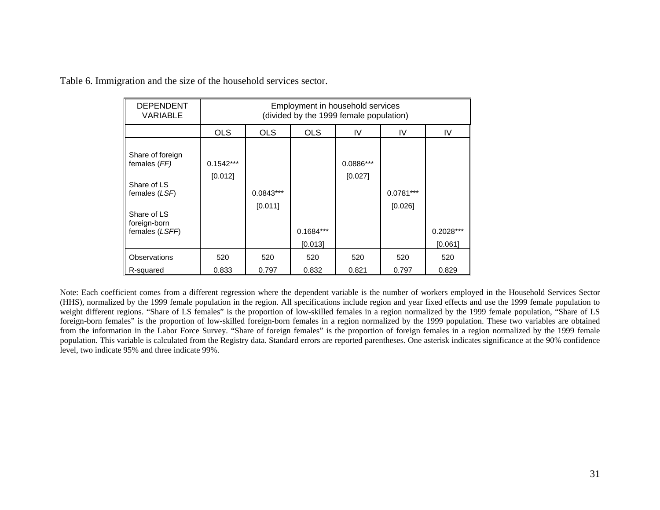| <b>DEPENDENT</b><br>VARIABLE                                                                                      | Employment in household services<br>(divided by the 1999 female population) |                        |             |                        |                        |             |  |  |
|-------------------------------------------------------------------------------------------------------------------|-----------------------------------------------------------------------------|------------------------|-------------|------------------------|------------------------|-------------|--|--|
|                                                                                                                   | <b>OLS</b>                                                                  | <b>OLS</b>             | <b>OLS</b>  | IV                     | IV                     | IV          |  |  |
| Share of foreign<br>females (FF)<br>Share of LS<br>females (LSF)<br>Share of LS<br>foreign-born<br>females (LSFF) | $0.1542***$<br>[0.012]                                                      | $0.0843***$<br>[0.011] | $0.1684***$ | $0.0886***$<br>[0.027] | $0.0781***$<br>[0.026] | $0.2028***$ |  |  |
|                                                                                                                   |                                                                             |                        | [0.013]     |                        |                        | [0.061]     |  |  |
| <b>Observations</b>                                                                                               | 520                                                                         | 520                    | 520         | 520                    | 520                    | 520         |  |  |
| R-squared                                                                                                         | 0.833                                                                       | 0.797                  | 0.832       | 0.821                  | 0.797                  | 0.829       |  |  |

Table 6. Immigration and the size of the household services sector.

Note: Each coefficient comes from a different regression where the dependent variable is the number of workers employed in the Household Services Sector (HHS), normalized by the 1999 female population in the region. All specifications include region and year fixed effects and use the 1999 female population to weight different regions. "Share of LS females" is the proportion of low-skilled females in a region normalized by the 1999 female population, "Share of LS foreign-born females" is the proportion of low-skilled foreign-born females in a region normalized by the 1999 population. These two variables are obtained from the information in the Labor Force Survey. "Share of foreign females" is the proportion of foreign females in a region normalized by the 1999 female population. This variable is calculated from the Registry data. Standard errors are reported parentheses. One asterisk indicates significance at the 90% confidence level, two indicate 95% and three indicate 99%.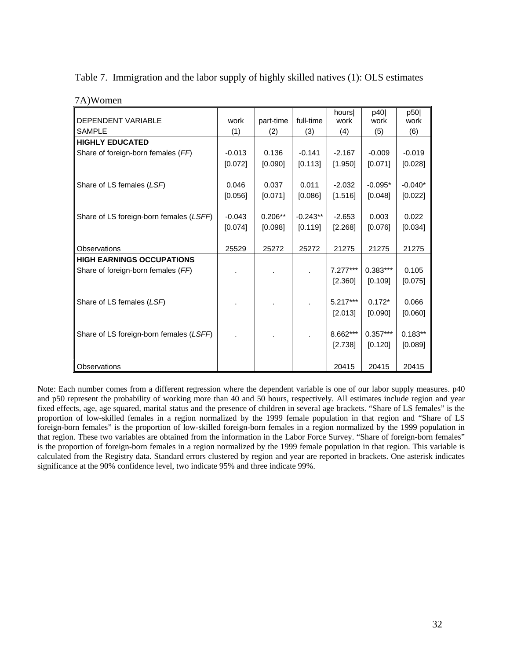| 7A)Women                                |          |           |            |               |             |             |
|-----------------------------------------|----------|-----------|------------|---------------|-------------|-------------|
| <b>DEPENDENT VARIABLE</b>               | work     | part-time | full-time  | hours<br>work | p40<br>work | p50<br>work |
| <b>SAMPLE</b>                           | (1)      | (2)       | (3)        | (4)           | (5)         | (6)         |
| <b>HIGHLY EDUCATED</b>                  |          |           |            |               |             |             |
| Share of foreign-born females (FF)      | $-0.013$ | 0.136     | $-0.141$   | $-2.167$      | $-0.009$    | $-0.019$    |
|                                         | [0.072]  | [0.090]   | [0.113]    | [1.950]       | [0.071]     | [0.028]     |
|                                         |          |           |            |               |             |             |
| Share of LS females (LSF)               | 0.046    | 0.037     | 0.011      | $-2.032$      | $-0.095*$   | $-0.040*$   |
|                                         | [0.056]  | [0.071]   | [0.086]    | [1.516]       | [0.048]     | [0.022]     |
|                                         |          |           |            |               |             |             |
| Share of LS foreign-born females (LSFF) | $-0.043$ | $0.206**$ | $-0.243**$ | $-2.653$      | 0.003       | 0.022       |
|                                         | [0.074]  | [0.098]   | [0.119]    | [2.268]       | [0.076]     | [0.034]     |
|                                         |          |           |            |               |             |             |
| Observations                            | 25529    | 25272     | 25272      | 21275         | 21275       | 21275       |
| <b>HIGH EARNINGS OCCUPATIONS</b>        |          |           |            |               |             |             |
| Share of foreign-born females (FF)      |          |           |            | $7.277***$    | $0.383***$  | 0.105       |
|                                         |          |           |            | [2.360]       | [0.109]     | [0.075]     |
|                                         |          |           |            |               |             |             |
| Share of LS females (LSF)               |          |           |            | $5.217***$    | $0.172*$    | 0.066       |
|                                         |          |           |            | [2.013]       | [0.090]     | [0.060]     |
|                                         |          |           |            |               |             |             |
| Share of LS foreign-born females (LSFF) |          |           |            | 8.662***      | $0.357***$  | $0.183**$   |
|                                         |          |           |            | [2.738]       | [0.120]     | [0.089]     |
|                                         |          |           |            |               |             |             |
| Observations                            |          |           |            | 20415         | 20415       | 20415       |

Table 7. Immigration and the labor supply of highly skilled natives (1): OLS estimates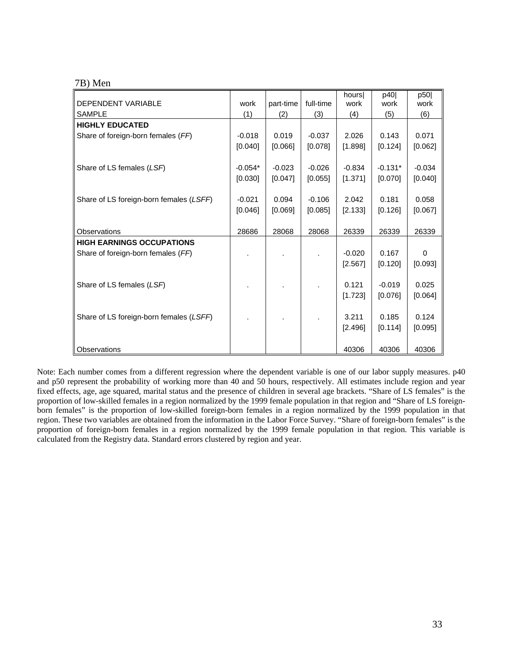| DEPENDENT VARIABLE                      | work      | part-time | full-time | hours<br>work | p40<br>work | p50<br>work |
|-----------------------------------------|-----------|-----------|-----------|---------------|-------------|-------------|
| <b>SAMPLE</b>                           | (1)       | (2)       | (3)       | (4)           | (5)         | (6)         |
| <b>HIGHLY EDUCATED</b>                  |           |           |           |               |             |             |
| Share of foreign-born females (FF)      | $-0.018$  | 0.019     | $-0.037$  | 2.026         | 0.143       | 0.071       |
|                                         | [0.040]   | [0.066]   | [0.078]   | [1.898]       | [0.124]     | [0.062]     |
|                                         |           |           |           |               |             |             |
| Share of LS females (LSF)               | $-0.054*$ | $-0.023$  | $-0.026$  | $-0.834$      | $-0.131*$   | $-0.034$    |
|                                         | [0.030]   | [0.047]   | [0.055]   | [1.371]       | [0.070]     | [0.040]     |
|                                         |           |           |           |               |             |             |
| Share of LS foreign-born females (LSFF) | $-0.021$  | 0.094     | $-0.106$  | 2.042         | 0.181       | 0.058       |
|                                         | [0.046]   | [0.069]   | [0.085]   | [2.133]       | [0.126]     | [0.067]     |
| Observations                            | 28686     | 28068     | 28068     | 26339         | 26339       | 26339       |
| <b>HIGH EARNINGS OCCUPATIONS</b>        |           |           |           |               |             |             |
| Share of foreign-born females (FF)      |           |           |           | $-0.020$      | 0.167       | $\Omega$    |
|                                         |           |           |           | [2.567]       | [0.120]     | [0.093]     |
|                                         |           |           |           |               |             |             |
| Share of LS females (LSF)               |           |           |           | 0.121         | $-0.019$    | 0.025       |
|                                         |           |           |           | [1.723]       | [0.076]     | [0.064]     |
|                                         |           |           |           |               |             |             |
| Share of LS foreign-born females (LSFF) |           |           |           | 3.211         | 0.185       | 0.124       |
|                                         |           |           |           | [2.496]       | [0.114]     | [0.095]     |
|                                         |           |           |           |               |             |             |
| Observations                            |           |           |           | 40306         | 40306       | 40306       |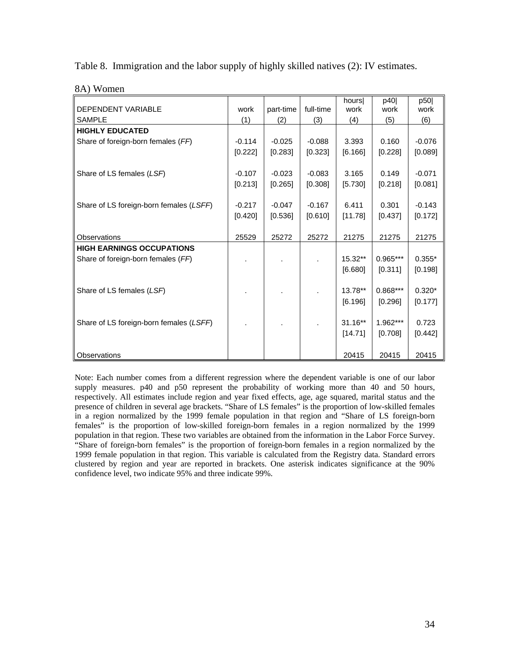|  |  | Table 8. Immigration and the labor supply of highly skilled natives (2): IV estimates. |  |
|--|--|----------------------------------------------------------------------------------------|--|
|  |  |                                                                                        |  |

|                                         |          |           |           | hours     | p40        | p50      |
|-----------------------------------------|----------|-----------|-----------|-----------|------------|----------|
| <b>DEPENDENT VARIABLE</b>               | work     | part-time | full-time | work      | work       | work     |
| <b>SAMPLE</b>                           | (1)      | (2)       | (3)       | (4)       | (5)        | (6)      |
| <b>HIGHLY EDUCATED</b>                  |          |           |           |           |            |          |
| Share of foreign-born females (FF)      | $-0.114$ | $-0.025$  | $-0.088$  | 3.393     | 0.160      | $-0.076$ |
|                                         | [0.222]  | [0.283]   | [0.323]   | [6.166]   | [0.228]    | [0.089]  |
|                                         |          |           |           |           |            |          |
| Share of LS females (LSF)               | $-0.107$ | $-0.023$  | $-0.083$  | 3.165     | 0.149      | $-0.071$ |
|                                         | [0.213]  | [0.265]   | [0.308]   | [5.730]   | [0.218]    | [0.081]  |
|                                         |          |           |           |           |            |          |
| Share of LS foreign-born females (LSFF) | $-0.217$ | $-0.047$  | $-0.167$  | 6.411     | 0.301      | $-0.143$ |
|                                         | [0.420]  | [0.536]   | [0.610]   | [11.78]   | [0.437]    | [0.172]  |
|                                         |          |           |           |           |            |          |
| Observations                            | 25529    | 25272     | 25272     | 21275     | 21275      | 21275    |
| <b>HIGH EARNINGS OCCUPATIONS</b>        |          |           |           |           |            |          |
| Share of foreign-born females (FF)      |          |           |           | $15.32**$ | $0.965***$ | $0.355*$ |
|                                         |          |           |           | [6.680]   | [0.311]    | [0.198]  |
|                                         |          |           |           |           |            |          |
| Share of LS females (LSF)               |          |           |           | $13.78**$ | $0.868***$ | $0.320*$ |
|                                         |          |           |           | [6.196]   | [0.296]    | [0.177]  |
|                                         |          |           |           |           |            |          |
| Share of LS foreign-born females (LSFF) |          |           |           | $31.16**$ | $1.962***$ | 0.723    |
|                                         |          |           |           | [14.71]   | [0.708]    | [0.442]  |
|                                         |          |           |           |           |            |          |
| Observations                            |          |           |           | 20415     | 20415      | 20415    |

8A) Women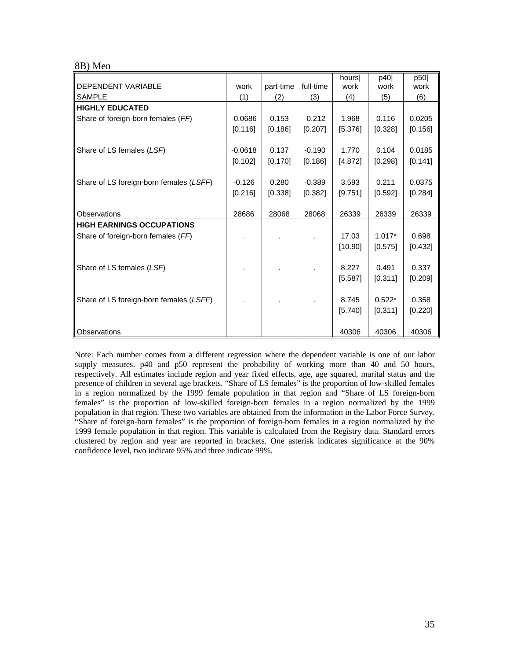#### 8B) Men

|                                         |           |           |           | hours   | p40      | p50     |
|-----------------------------------------|-----------|-----------|-----------|---------|----------|---------|
| DEPENDENT VARIABLE                      | work      | part-time | full-time | work    | work     | work    |
| <b>SAMPLE</b>                           | (1)       | (2)       | (3)       | (4)     | (5)      | (6)     |
| <b>HIGHLY EDUCATED</b>                  |           |           |           |         |          |         |
| Share of foreign-born females (FF)      | $-0.0686$ | 0.153     | $-0.212$  | 1.968   | 0.116    | 0.0205  |
|                                         | [0.116]   | [0.186]   | [0.207]   | [5.376] | [0.328]  | [0.156] |
|                                         |           |           |           |         |          |         |
| Share of LS females (LSF)               | $-0.0618$ | 0.137     | $-0.190$  | 1.770   | 0.104    | 0.0185  |
|                                         | [0.102]   | [0.170]   | [0.186]   | [4.872] | [0.298]  | [0.141] |
|                                         |           |           |           |         |          |         |
| Share of LS foreign-born females (LSFF) | $-0.126$  | 0.280     | $-0.389$  | 3.593   | 0.211    | 0.0375  |
|                                         | [0.216]   | [0.338]   | [0.382]   | [9.751] | [0.592]  | [0.284] |
|                                         |           |           |           |         |          |         |
| Observations                            | 28686     | 28068     | 28068     | 26339   | 26339    | 26339   |
| <b>HIGH EARNINGS OCCUPATIONS</b>        |           |           |           |         |          |         |
| Share of foreign-born females (FF)      |           |           |           | 17.03   | $1.017*$ | 0.698   |
|                                         |           |           |           | [10.90] | [0.575]  | [0.432] |
|                                         |           |           |           |         |          |         |
| Share of LS females (LSF)               |           |           |           | 8.227   | 0.491    | 0.337   |
|                                         |           |           |           | [5.587] | [0.311]  | [0.209] |
|                                         |           |           |           |         |          |         |
| Share of LS foreign-born females (LSFF) |           |           |           | 8.745   | $0.522*$ | 0.358   |
|                                         |           |           |           | [5.740] | [0.311]  | [0.220] |
|                                         |           |           |           |         |          |         |
| Observations                            |           |           |           | 40306   | 40306    | 40306   |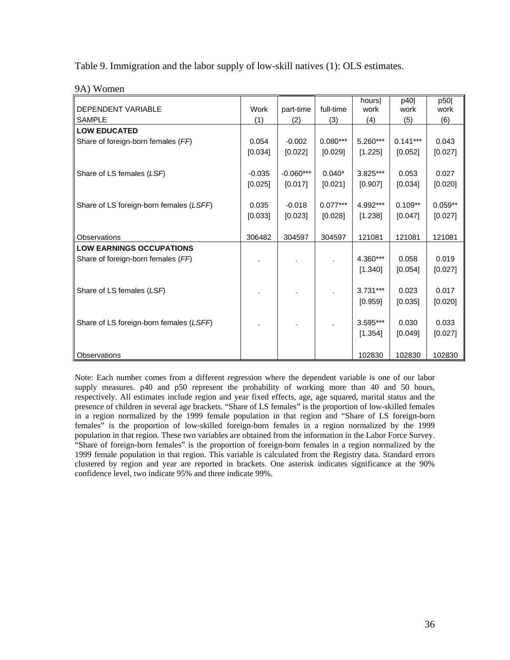Table 9. Immigration and the labor supply of low-skill natives (1): OLS estimates.

| <b>DEPENDENT VARIABLE</b>               | Work     | part-time   | full-time  | hours<br>work | p40<br>work | p50<br>work |
|-----------------------------------------|----------|-------------|------------|---------------|-------------|-------------|
| <b>SAMPLE</b>                           | (1)      | (2)         | (3)        | (4)           | (5)         | (6)         |
| <b>LOW EDUCATED</b>                     |          |             |            |               |             |             |
| Share of foreign-born females (FF)      | 0.054    | $-0.002$    | $0.080***$ | 5.260***      | $0.141***$  | 0.043       |
|                                         | [0.034]  | [0.022]     | [0.029]    | [1.225]       | [0.052]     | [0.027]     |
|                                         |          |             |            |               |             |             |
| Share of LS females (LSF)               | $-0.035$ | $-0.060***$ | $0.040*$   | 3.825***      | 0.053       | 0.027       |
|                                         | [0.025]  | [0.017]     | [0.021]    | [0.907]       | [0.034]     | [0.020]     |
|                                         |          |             |            |               |             |             |
| Share of LS foreign-born females (LSFF) | 0.035    | $-0.018$    | $0.077***$ | 4.992***      | $0.109**$   | $0.059**$   |
|                                         | [0.033]  | [0.023]     | [0.028]    | [1.238]       | [0.047]     | [0.027]     |
|                                         |          |             |            |               |             |             |
| Observations                            | 306482   | 304597      | 304597     | 121081        | 121081      | 121081      |
| <b>LOW EARNINGS OCCUPATIONS</b>         |          |             |            |               |             |             |
| Share of foreign-born females (FF)      |          |             |            | 4.360***      | 0.058       | 0.019       |
|                                         |          |             |            | [1.340]       | [0.054]     | [0.027]     |
|                                         |          |             |            |               |             |             |
| Share of LS females (LSF)               |          |             |            | $3.731***$    | 0.023       | 0.017       |
|                                         |          |             |            | [0.959]       | [0.035]     | [0.020]     |
|                                         |          |             |            |               |             |             |
| Share of LS foreign-born females (LSFF) |          |             |            | 3.595***      | 0.030       | 0.033       |
|                                         |          |             |            | [1.354]       | [0.049]     | [0.027]     |
|                                         |          |             |            |               |             |             |
| Observations                            |          |             |            | 102830        | 102830      | 102830      |

9A) Women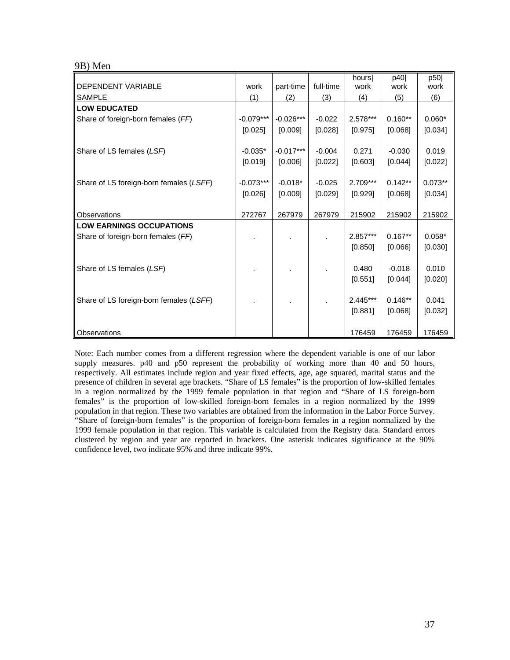#### 9B) Men

| DEPENDENT VARIABLE                      | work        | part-time   | full-time | hours<br>work | p40<br>work | p50<br>work |
|-----------------------------------------|-------------|-------------|-----------|---------------|-------------|-------------|
| <b>SAMPLE</b>                           |             |             |           |               |             |             |
| <b>LOW EDUCATED</b>                     | (1)         | (2)         | (3)       | (4)           | (5)         | (6)         |
|                                         |             |             |           |               |             |             |
| Share of foreign-born females (FF)      | $-0.079***$ | $-0.026***$ | $-0.022$  | $2.578***$    | $0.160**$   | $0.060*$    |
|                                         | [0.025]     | [0.009]     | [0.028]   | [0.975]       | [0.068]     | [0.034]     |
|                                         |             |             |           |               |             |             |
| Share of LS females (LSF)               | $-0.035*$   | $-0.017***$ | $-0.004$  | 0.271         | $-0.030$    | 0.019       |
|                                         | [0.019]     | [0.006]     | [0.022]   | [0.603]       | [0.044]     | [0.022]     |
|                                         |             |             |           |               |             |             |
| Share of LS foreign-born females (LSFF) | $-0.073***$ | $-0.018*$   | $-0.025$  | 2.709***      | $0.142**$   | $0.073**$   |
|                                         | [0.026]     | [0.009]     | [0.029]   | [0.929]       | [0.068]     | [0.034]     |
|                                         |             |             |           |               |             |             |
| Observations                            | 272767      | 267979      | 267979    | 215902        | 215902      | 215902      |
| <b>LOW EARNINGS OCCUPATIONS</b>         |             |             |           |               |             |             |
| Share of foreign-born females (FF)      |             |             |           | $2.857***$    | $0.167**$   | $0.058*$    |
|                                         |             |             |           | [0.850]       | [0.066]     | [0.030]     |
|                                         |             |             |           |               |             |             |
| Share of LS females (LSF)               |             |             |           | 0.480         | $-0.018$    | 0.010       |
|                                         |             |             |           | [0.551]       | [0.044]     | [0.020]     |
|                                         |             |             |           |               |             |             |
| Share of LS foreign-born females (LSFF) |             |             |           | $2.445***$    | $0.146**$   | 0.041       |
|                                         |             |             |           | [0.881]       | [0.068]     | [0.032]     |
|                                         |             |             |           |               |             |             |
| Observations                            |             |             |           | 176459        | 176459      | 176459      |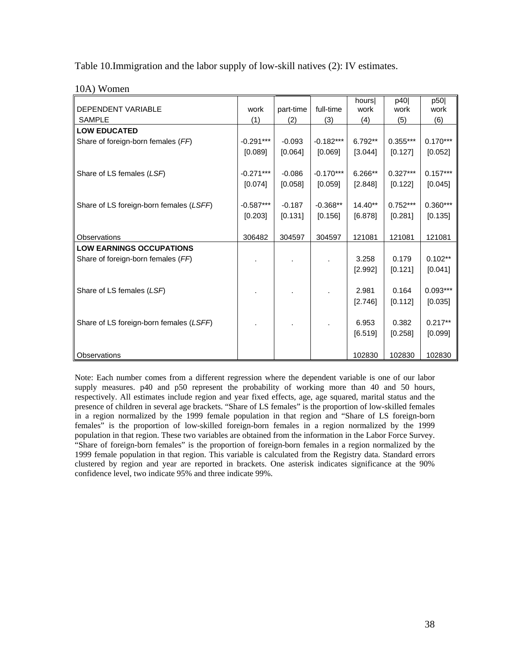Table 10.Immigration and the labor supply of low-skill natives (2): IV estimates.

| <b>DEPENDENT VARIABLE</b>               | work        | part-time | full-time   | hours<br>work | p40<br>work | p50<br>work |
|-----------------------------------------|-------------|-----------|-------------|---------------|-------------|-------------|
| <b>SAMPLE</b>                           | (1)         | (2)       | (3)         | (4)           | (5)         | (6)         |
| <b>LOW EDUCATED</b>                     |             |           |             |               |             |             |
| Share of foreign-born females (FF)      | $-0.291***$ | $-0.093$  | $-0.182***$ | $6.792**$     | $0.355***$  | $0.170***$  |
|                                         | [0.089]     | [0.064]   | [0.069]     | [3.044]       | [0.127]     | [0.052]     |
|                                         |             |           |             |               |             |             |
| Share of LS females (LSF)               | $-0.271***$ | $-0.086$  | $-0.170***$ | 6.266**       | $0.327***$  | $0.157***$  |
|                                         | [0.074]     | [0.058]   | [0.059]     | [2.848]       | [0.122]     | [0.045]     |
|                                         |             |           |             |               |             |             |
| Share of LS foreign-born females (LSFF) | $-0.587***$ | $-0.187$  | $-0.368**$  | $14.40**$     | $0.752***$  | $0.360***$  |
|                                         | [0.203]     | [0.131]   | [0.156]     | [6.878]       | [0.281]     | [0.135]     |
|                                         |             |           |             |               |             |             |
| Observations                            | 306482      | 304597    | 304597      | 121081        | 121081      | 121081      |
| <b>LOW EARNINGS OCCUPATIONS</b>         |             |           |             |               |             |             |
| Share of foreign-born females (FF)      |             |           |             | 3.258         | 0.179       | $0.102**$   |
|                                         |             |           |             | [2.992]       | [0.121]     | [0.041]     |
|                                         |             |           |             |               |             |             |
| Share of LS females (LSF)               |             |           |             | 2.981         | 0.164       | $0.093***$  |
|                                         |             |           |             | [2.746]       | [0.112]     | [0.035]     |
|                                         |             |           |             |               |             |             |
| Share of LS foreign-born females (LSFF) |             |           |             | 6.953         | 0.382       | $0.217**$   |
|                                         |             |           |             | [6.519]       | [0.258]     | [0.099]     |
|                                         |             |           |             |               |             |             |
| Observations                            |             |           |             | 102830        | 102830      | 102830      |

10A) Women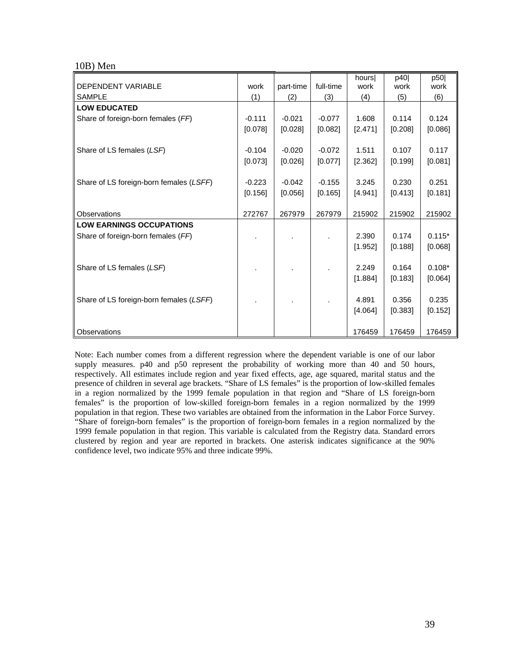#### 10B) Men

| DEPENDENT VARIABLE                      |          |           | full-time | hours   | p40     | p50      |
|-----------------------------------------|----------|-----------|-----------|---------|---------|----------|
|                                         | work     | part-time |           | work    | work    | work     |
| <b>SAMPLE</b>                           | (1)      | (2)       | (3)       | (4)     | (5)     | (6)      |
| <b>LOW EDUCATED</b>                     |          |           |           |         |         |          |
| Share of foreign-born females (FF)      | $-0.111$ | $-0.021$  | $-0.077$  | 1.608   | 0.114   | 0.124    |
|                                         | [0.078]  | [0.028]   | [0.082]   | [2.471] | [0.208] | [0.086]  |
|                                         |          |           |           |         |         |          |
| Share of LS females (LSF)               | $-0.104$ | $-0.020$  | $-0.072$  | 1.511   | 0.107   | 0.117    |
|                                         | [0.073]  | [0.026]   | [0.077]   | [2.362] | [0.199] | [0.081]  |
|                                         |          |           |           |         |         |          |
| Share of LS foreign-born females (LSFF) | $-0.223$ | $-0.042$  | $-0.155$  | 3.245   | 0.230   | 0.251    |
|                                         | [0.156]  | [0.056]   | [0.165]   | [4.941] | [0.413] | [0.181]  |
|                                         |          |           |           |         |         |          |
| Observations                            | 272767   | 267979    | 267979    | 215902  | 215902  | 215902   |
| <b>LOW EARNINGS OCCUPATIONS</b>         |          |           |           |         |         |          |
| Share of foreign-born females (FF)      |          |           |           | 2.390   | 0.174   | $0.115*$ |
|                                         |          |           |           | [1.952] | [0.188] | [0.068]  |
|                                         |          |           |           |         |         |          |
| Share of LS females (LSF)               |          |           |           | 2.249   | 0.164   | $0.108*$ |
|                                         |          |           |           | [1.884] | [0.183] | [0.064]  |
|                                         |          |           |           |         |         |          |
| Share of LS foreign-born females (LSFF) |          |           |           | 4.891   | 0.356   | 0.235    |
|                                         |          |           |           | [4.064] | [0.383] | [0.152]  |
|                                         |          |           |           |         |         |          |
|                                         |          |           |           |         |         |          |
| Observations                            |          |           |           | 176459  | 176459  | 176459   |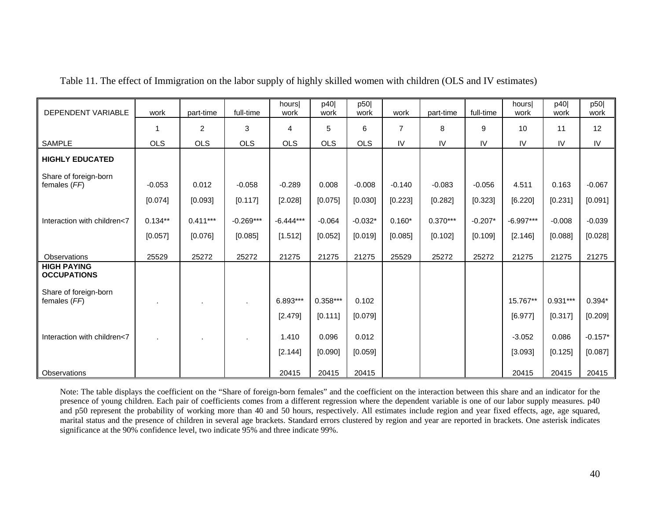| <b>DEPENDENT VARIABLE</b>                | work       | part-time      | full-time   | hoursl<br>work | p40<br>work | p50<br>work | work     | part-time  | full-time | hours<br>work | p40<br>work | p50<br>work |
|------------------------------------------|------------|----------------|-------------|----------------|-------------|-------------|----------|------------|-----------|---------------|-------------|-------------|
|                                          | 1          | $\overline{c}$ | 3           | 4              | 5           | 6           | 7        | 8          | 9         | 10            | 11          | 12          |
| <b>SAMPLE</b>                            | <b>OLS</b> | <b>OLS</b>     | <b>OLS</b>  | <b>OLS</b>     | <b>OLS</b>  | <b>OLS</b>  | IV       | IV         | IV        | IV            | IV          | IV          |
| <b>HIGHLY EDUCATED</b>                   |            |                |             |                |             |             |          |            |           |               |             |             |
| Share of foreign-born<br>females (FF)    | $-0.053$   | 0.012          | $-0.058$    | $-0.289$       | 0.008       | $-0.008$    | $-0.140$ | $-0.083$   | $-0.056$  | 4.511         | 0.163       | $-0.067$    |
|                                          | [0.074]    | [0.093]        | [0.117]     | [2.028]        | [0.075]     | [0.030]     | [0.223]  | [0.282]    | [0.323]   | [6.220]       | [0.231]     | [0.091]     |
| Interaction with children<7              | $0.134**$  | $0.411***$     | $-0.269***$ | $-6.444***$    | $-0.064$    | $-0.032*$   | $0.160*$ | $0.370***$ | $-0.207*$ | $-6.997***$   | $-0.008$    | $-0.039$    |
|                                          | [0.057]    | [0.076]        | [0.085]     | [1.512]        | [0.052]     | [0.019]     | [0.085]  | [0.102]    | [0.109]   | [2.146]       | [0.088]     | [0.028]     |
| Observations                             | 25529      | 25272          | 25272       | 21275          | 21275       | 21275       | 25529    | 25272      | 25272     | 21275         | 21275       | 21275       |
| <b>HIGH PAYING</b><br><b>OCCUPATIONS</b> |            |                |             |                |             |             |          |            |           |               |             |             |
| Share of foreign-born<br>females (FF)    | $\cdot$    |                |             | 6.893***       | $0.358***$  | 0.102       |          |            |           | 15.767**      | $0.931***$  | $0.394*$    |
|                                          |            |                |             | [2.479]        | [0.111]     | [0.079]     |          |            |           | [6.977]       | [0.317]     | [0.209]     |
| Interaction with children<7              |            |                |             | 1.410          | 0.096       | 0.012       |          |            |           | $-3.052$      | 0.086       | $-0.157*$   |
|                                          |            |                |             | [2.144]        | [0.090]     | [0.059]     |          |            |           | [3.093]       | [0.125]     | [0.087]     |
| Observations                             |            |                |             | 20415          | 20415       | 20415       |          |            |           | 20415         | 20415       | 20415       |

Table 11. The effect of Immigration on the labor supply of highly skilled women with children (OLS and IV estimates)

Note: The table displays the coefficient on the "Share of foreign-born females" and the coefficient on the interaction between this share and an indicator for the presence of young children. Each pair of coefficients comes from a different regression where the dependent variable is one of our labor supply measures. p40 and p50 represent the probability of working more than 40 and 50 hours, respectively. All estimates include region and year fixed effects, age, age squared, marital status and the presence of children in several age brackets. Standard errors clustered by region and year are reported in brackets. One asterisk indicates significance at the 90% confidence level, two indicate 95% and three indicate 99%.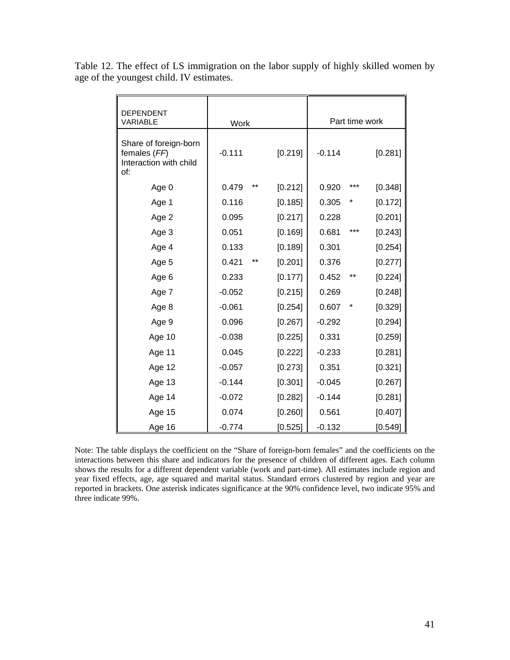| <b>DEPENDENT</b><br><b>VARIABLE</b>                                    | Work     |    |         |          |     | Part time work |
|------------------------------------------------------------------------|----------|----|---------|----------|-----|----------------|
| Share of foreign-born<br>females (FF)<br>Interaction with child<br>of: | $-0.111$ |    | [0.219] | $-0.114$ |     | [0.281]        |
| Age 0                                                                  | 0.479    | ** | [0.212] | 0.920    | *** | [0.348]        |
| Age 1                                                                  | 0.116    |    | [0.185] | 0.305    |     | [0.172]        |
| Age 2                                                                  | 0.095    |    | [0.217] | 0.228    |     | [0.201]        |
| Age 3                                                                  | 0.051    |    | [0.169] | 0.681    | *** | [0.243]        |
| Age 4                                                                  | 0.133    |    | [0.189] | 0.301    |     | [0.254]        |
| Age 5                                                                  | 0.421    | ** | [0.201] | 0.376    |     | [0.277]        |
| Age 6                                                                  | 0.233    |    | [0.177] | 0.452    | **  | [0.224]        |
| Age 7                                                                  | $-0.052$ |    | [0.215] | 0.269    |     | [0.248]        |
| Age 8                                                                  | $-0.061$ |    | [0.254] | 0.607    | *   | [0.329]        |
| Age 9                                                                  | 0.096    |    | [0.267] | $-0.292$ |     | [0.294]        |
| Age 10                                                                 | $-0.038$ |    | [0.225] | 0.331    |     | [0.259]        |
| Age 11                                                                 | 0.045    |    | [0.222] | $-0.233$ |     | [0.281]        |
| Age 12                                                                 | $-0.057$ |    | [0.273] | 0.351    |     | [0.321]        |
| Age 13                                                                 | $-0.144$ |    | [0.301] | $-0.045$ |     | [0.267]        |
| Age 14                                                                 | $-0.072$ |    | [0.282] | $-0.144$ |     | [0.281]        |
| Age 15                                                                 | 0.074    |    | [0.260] | 0.561    |     | [0.407]        |
| Age 16                                                                 | $-0.774$ |    | [0.525] | $-0.132$ |     | [0.549]        |

Table 12. The effect of LS immigration on the labor supply of highly skilled women by age of the youngest child. IV estimates.

Note: The table displays the coefficient on the "Share of foreign-born females" and the coefficients on the interactions between this share and indicators for the presence of children of different ages. Each column shows the results for a different dependent variable (work and part-time). All estimates include region and year fixed effects, age, age squared and marital status. Standard errors clustered by region and year are reported in brackets. One asterisk indicates significance at the 90% confidence level, two indicate 95% and three indicate 99%.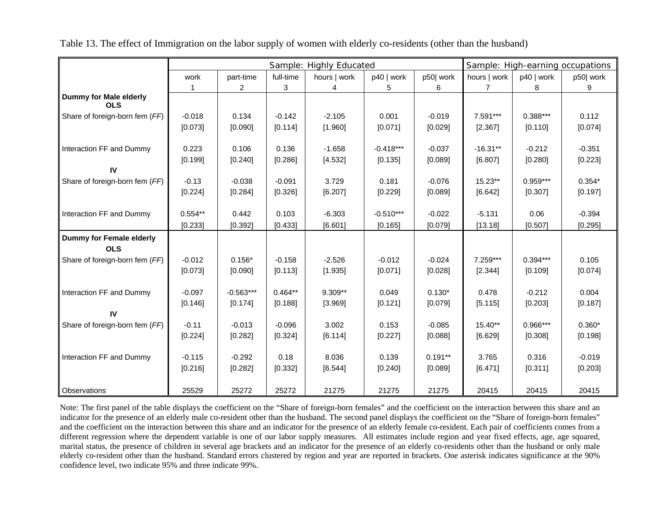|                                      |           |                |           | Sample: Highly Educated |             |           |              |            | Sample: High-earning occupations |
|--------------------------------------|-----------|----------------|-----------|-------------------------|-------------|-----------|--------------|------------|----------------------------------|
|                                      | work      | part-time      | full-time | hours   work            | p40   work  | p50 work  | hours   work | p40   work | p50 work                         |
|                                      |           | $\overline{2}$ | 3         | 4                       | 5           | 6         | 7            | 8          | 9                                |
| Dummy for Male elderly<br><b>OLS</b> |           |                |           |                         |             |           |              |            |                                  |
| Share of foreign-born fem (FF)       | $-0.018$  | 0.134          | $-0.142$  | $-2.105$                | 0.001       | $-0.019$  | 7.591***     | 0.388***   | 0.112                            |
|                                      | [0.073]   | [0.090]        | [0.114]   | [1.960]                 | [0.071]     | [0.029]   | [2.367]      | [0.110]    | [0.074]                          |
| Interaction FF and Dummy             | 0.223     | 0.106          | 0.136     | $-1.658$                | $-0.418***$ | $-0.037$  | $-16.31**$   | $-0.212$   | $-0.351$                         |
|                                      | [0.199]   | [0.240]        | [0.286]   | [4.532]                 | [0.135]     | [0.089]   | [6.807]      | [0.280]    | [0.223]                          |
| IV                                   |           |                |           |                         |             |           |              |            |                                  |
| Share of foreign-born fem (FF)       | $-0.13$   | $-0.038$       | $-0.091$  | 3.729                   | 0.181       | $-0.076$  | 15.23**      | $0.959***$ | $0.354*$                         |
|                                      | [0.224]   | [0.284]        | [0.326]   | [6.207]                 | [0.229]     | [0.089]   | [6.642]      | [0.307]    | [0.197]                          |
|                                      |           |                |           |                         |             |           |              |            |                                  |
| Interaction FF and Dummy             | $0.554**$ | 0.442          | 0.103     | $-6.303$                | $-0.510***$ | $-0.022$  | $-5.131$     | 0.06       | $-0.394$                         |
|                                      | [0.233]   | [0.392]        | [0.433]   | [6.601]                 | [0.165]     | [0.079]   | [13.18]      | [0.507]    | [0.295]                          |
| Dummy for Female elderly             |           |                |           |                         |             |           |              |            |                                  |
| <b>OLS</b>                           |           |                |           |                         |             |           |              |            |                                  |
| Share of foreign-born fem (FF)       | $-0.012$  | $0.156*$       | $-0.158$  | $-2.526$                | $-0.012$    | $-0.024$  | 7.259***     | $0.394***$ | 0.105                            |
|                                      | [0.073]   | [0.090]        | [0.113]   | [1.935]                 | [0.071]     | [0.028]   | [2.344]      | [0.109]    | [0.074]                          |
| Interaction FF and Dummy             | $-0.097$  | $-0.563***$    | $0.464**$ | 9.309**                 | 0.049       | $0.130*$  | 0.478        | $-0.212$   | 0.004                            |
|                                      | [0.146]   | [0.174]        | [0.188]   | [3.969]                 | [0.121]     | [0.079]   | [5.115]      | [0.203]    | [0.187]                          |
| IV                                   |           |                |           |                         |             |           |              |            |                                  |
| Share of foreign-born fem (FF)       | $-0.11$   | $-0.013$       | $-0.096$  | 3.002                   | 0.153       | $-0.085$  | $15.40**$    | $0.966***$ | $0.360*$                         |
|                                      | [0.224]   | [0.282]        | [0.324]   | [6.114]                 | [0.227]     | [0.088]   | [6.629]      | [0.308]    | [0.198]                          |
|                                      |           |                |           |                         |             |           |              |            |                                  |
| Interaction FF and Dummy             | $-0.115$  | $-0.292$       | 0.18      | 8.036                   | 0.139       | $0.191**$ | 3.765        | 0.316      | $-0.019$                         |
|                                      | [0.216]   | [0.282]        | [0.332]   | [6.544]                 | [0.240]     | [0.089]   | [6.471]      | [0.311]    | [0.203]                          |
| Observations                         | 25529     | 25272          | 25272     | 21275                   | 21275       | 21275     | 20415        | 20415      | 20415                            |

Table 13. The effect of Immigration on the labor supply of women with elderly co-residents (other than the husband)

Note: The first panel of the table displays the coefficient on the "Share of foreign-born females" and the coefficient on the interaction between this share and an indicator for the presence of an elderly male co-resident other than the husband. The second panel displays the coefficient on the "Share of foreign-born females" and the coefficient on the interaction between this share and an indicator for the presence of an elderly female co-resident. Each pair of coefficients comes from a different regression where the dependent variable is one of our labor supply measures. All estimates include region and year fixed effects, age, age squared, marital status, the presence of children in several age brackets and an indicator for the presence of an elderly co-residents other than the husband or only male elderly co-resident other than the husband. Standard errors clustered by region and year are reported in brackets. One asterisk indicates significance at the 90% confidence level, two indicate 95% and three indicate 99%.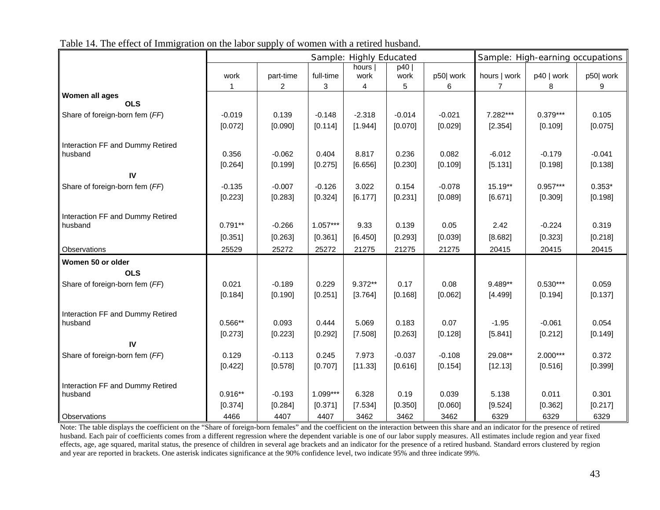|                                             |                  |                     |            | Sample: Highly Educated |                     |          |              | Sample: High-earning occupations |          |  |
|---------------------------------------------|------------------|---------------------|------------|-------------------------|---------------------|----------|--------------|----------------------------------|----------|--|
|                                             |                  |                     |            | hours                   | p40                 |          |              |                                  |          |  |
|                                             | work             | part-time           | full-time  | work                    | work                | p50 work | hours   work | p40   work                       | p50 work |  |
| Women all ages                              |                  | 2                   | 3          | 4                       | 5                   | 6        | 7            | 8                                | 9        |  |
| <b>OLS</b>                                  |                  |                     |            |                         |                     |          |              |                                  |          |  |
| Share of foreign-born fem (FF)              | $-0.019$         | 0.139               | $-0.148$   | $-2.318$                | $-0.014$            | $-0.021$ | 7.282***     | $0.379***$                       | 0.105    |  |
|                                             | [0.072]          | [0.090]             | [0.114]    | [1.944]                 | [0.070]             | [0.029]  | [2.354]      | [0.109]                          | [0.075]  |  |
| Interaction FF and Dummy Retired            |                  |                     |            |                         |                     |          |              |                                  |          |  |
| husband                                     | 0.356            | $-0.062$            | 0.404      | 8.817                   | 0.236               | 0.082    | $-6.012$     | $-0.179$                         | $-0.041$ |  |
|                                             | [0.264]          | [0.199]             | [0.275]    | [6.656]                 | [0.230]             | [0.109]  | [5.131]      | [0.198]                          | [0.138]  |  |
| IV                                          |                  |                     |            |                         |                     |          |              |                                  |          |  |
| Share of foreign-born fem (FF)              | $-0.135$         | $-0.007$            | $-0.126$   | 3.022                   | 0.154               | $-0.078$ | 15.19**      | $0.957***$                       | $0.353*$ |  |
|                                             | [0.223]          | [0.283]             | [0.324]    | [6.177]                 | [0.231]             | [0.089]  | [6.671]      | [0.309]                          | [0.198]  |  |
|                                             |                  |                     |            |                         |                     |          |              |                                  |          |  |
| Interaction FF and Dummy Retired<br>husband | $0.791**$        | $-0.266$            | $1.057***$ | 9.33                    | 0.139               | 0.05     | 2.42         | $-0.224$                         | 0.319    |  |
|                                             | [0.351]          | [0.263]             | [0.361]    | [6.450]                 | [0.293]             | [0.039]  | [8.682]      | [0.323]                          | [0.218]  |  |
| Observations                                | 25529            | 25272               | 25272      | 21275                   | 21275               | 21275    | 20415        | 20415                            | 20415    |  |
| Women 50 or older                           |                  |                     |            |                         |                     |          |              |                                  |          |  |
| <b>OLS</b>                                  |                  |                     |            |                         |                     |          |              |                                  |          |  |
| Share of foreign-born fem (FF)              | 0.021            | $-0.189$            | 0.229      | 9.372**                 | 0.17                | 0.08     | 9.489**      | $0.530***$                       | 0.059    |  |
|                                             | [0.184]          | [0.190]             | [0.251]    | [3.764]                 | [0.168]             | [0.062]  | [4.499]      | [0.194]                          | [0.137]  |  |
|                                             |                  |                     |            |                         |                     |          |              |                                  |          |  |
| Interaction FF and Dummy Retired            |                  |                     |            |                         |                     |          |              |                                  |          |  |
| husband                                     | $0.566**$        | 0.093               | 0.444      | 5.069                   | 0.183               | 0.07     | $-1.95$      | $-0.061$                         | 0.054    |  |
|                                             | [0.273]          | [0.223]             | [0.292]    | [7.508]                 | [0.263]             | [0.128]  | [5.841]      | [0.212]                          | [0.149]  |  |
| IV                                          |                  |                     | 0.245      | 7.973                   |                     | $-0.108$ | 29.08**      | $2.000***$                       | 0.372    |  |
| Share of foreign-born fem (FF)              | 0.129<br>[0.422] | $-0.113$<br>[0.578] | [0.707]    | [11.33]                 | $-0.037$<br>[0.616] | [0.154]  | [12.13]      | [0.516]                          | [0.399]  |  |
|                                             |                  |                     |            |                         |                     |          |              |                                  |          |  |
| Interaction FF and Dummy Retired            |                  |                     |            |                         |                     |          |              |                                  |          |  |
| husband                                     | $0.916**$        | $-0.193$            | 1.099***   | 6.328                   | 0.19                | 0.039    | 5.138        | 0.011                            | 0.301    |  |
|                                             | [0.374]          | [0.284]             | [0.371]    | [7.534]                 | [0.350]             | [0.060]  | [9.524]      | [0.362]                          | [0.217]  |  |
| Observations                                | 4466             | 4407                | 4407       | 3462                    | 3462                | 3462     | 6329         | 6329                             | 6329     |  |

Table 14. The effect of Immigration on the labor supply of women with a retired husband.

Note: The table displays the coefficient on the "Share of foreign-born females" and the coefficient on the interaction between this share and an indicator for the presence of retired husband. Each pair of coefficients comes from a different regression where the dependent variable is one of our labor supply measures. All estimates include region and year fixed effects, age, age squared, marital status, the presence of children in several age brackets and an indicator for the presence of a retired husband. Standard errors clustered by region and year are reported in brackets. One asterisk indicates significance at the 90% confidence level, two indicate 95% and three indicate 99%.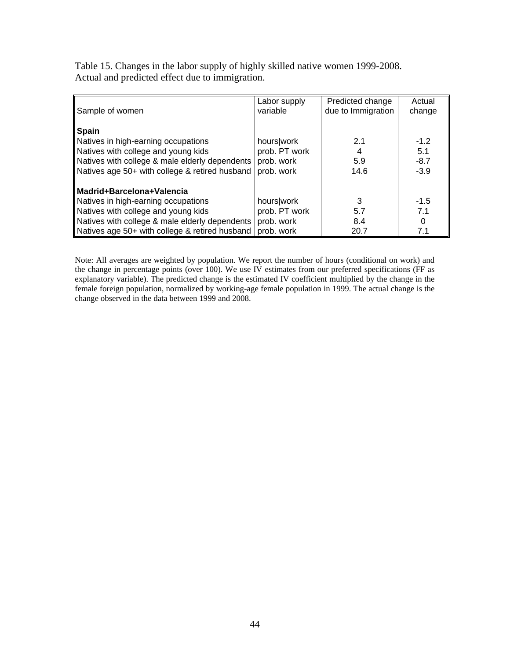Table 15. Changes in the labor supply of highly skilled native women 1999-2008. Actual and predicted effect due to immigration.

| Sample of women                                                                                                                                                                                             | Labor supply<br>variable                                | Predicted change<br>due to Immigration | Actual<br>change                  |
|-------------------------------------------------------------------------------------------------------------------------------------------------------------------------------------------------------------|---------------------------------------------------------|----------------------------------------|-----------------------------------|
| Spain<br>Natives in high-earning occupations<br>Natives with college and young kids<br>Natives with college & male elderly dependents<br>Natives age 50+ with college & retired husband                     | hours work<br>prob. PT work<br>prob. work<br>prob. work | 2.1<br>5.9<br>14.6                     | $-1.2$<br>5.1<br>$-8.7$<br>$-3.9$ |
| Madrid+Barcelona+Valencia<br>Natives in high-earning occupations<br>Natives with college and young kids<br>Natives with college & male elderly dependents<br>Natives age 50+ with college & retired husband | hours work<br>prob. PT work<br>prob. work<br>prob. work | 3<br>5.7<br>8.4<br>20.7                | $-1.5$<br>7.1<br>7.1              |

Note: All averages are weighted by population. We report the number of hours (conditional on work) and the change in percentage points (over 100). We use IV estimates from our preferred specifications (FF as explanatory variable). The predicted change is the estimated IV coefficient multiplied by the change in the female foreign population, normalized by working-age female population in 1999. The actual change is the change observed in the data between 1999 and 2008.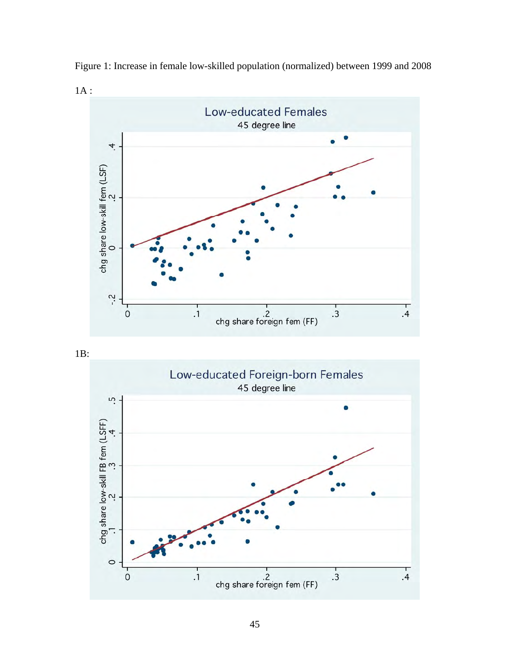

Figure 1: Increase in female low-skilled population (normalized) between 1999 and 2008



1B:

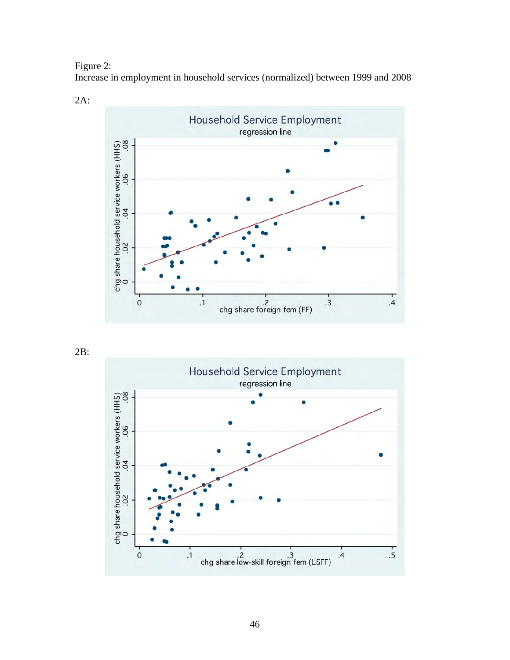Figure 2:

Increase in employment in household services (normalized) between 1999 and 2008



2B: